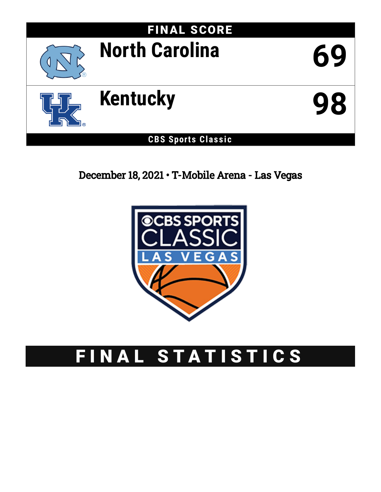

December 18, 2021 • T-Mobile Arena - Las Vegas



# FINAL STATISTICS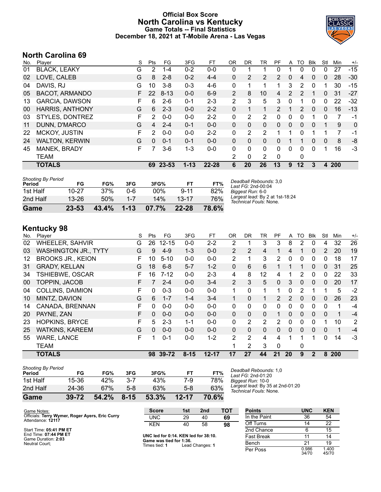### **Official Box Score North Carolina vs Kentucky Game Totals -- Final Statistics December 18, 2021 at T-Mobile Arena - Las Vegas**



## **North Carolina 69**

| No. | Player                 | S | Pts      | FG       | 3FG      | FT        | 0R             | DR.            | TR             | PF            | A              | TO             | <b>B</b> lk | Stl      | Min | $+/-$ |
|-----|------------------------|---|----------|----------|----------|-----------|----------------|----------------|----------------|---------------|----------------|----------------|-------------|----------|-----|-------|
| 01  | <b>BLACK, LEAKY</b>    | G | 2        | $1 - 4$  | $0 - 2$  | $0-0$     | 0              | ٠              |                | 0             |                | 0              | 0           | 0        | 27  | $-15$ |
| 02  | LOVE, CALEB            | G | 8        | $2 - 8$  | $0 - 2$  | $4 - 4$   | 0              | $\overline{2}$ | 2              | 2             | 0              | 4              | $\Omega$    | 0        | 28  | $-30$ |
| 04  | DAVIS, RJ              | G | 10       | $3 - 8$  | $0 - 3$  | $4-6$     | 0              | 1              | 1              | 1             | 3              | 2              | 0           | 1        | 30  | $-15$ |
| 05  | <b>BACOT, ARMANDO</b>  | F | 22       | $8 - 13$ | $0 - 0$  | $6-9$     | $\overline{2}$ | 8              | 10             | 4             | $\overline{2}$ | $\mathcal{P}$  |             | 0        | 31  | $-27$ |
| 13  | <b>GARCIA, DAWSON</b>  | F | 6        | $2 - 6$  | $0 - 1$  | $2 - 3$   | 2              | 3              | 5              | 3             | 0              |                | 0           | 0        | 22  | $-32$ |
| 00  | <b>HARRIS, ANTHONY</b> | G | 6        | $2 - 3$  | $0 - 0$  | $2 - 2$   | 0              | 1              | 1              | $\mathcal{P}$ |                | $\overline{2}$ | $\Omega$    | $\Omega$ | 16  | $-13$ |
| 03  | STYLES, DONTREZ        | F | 2        | $0 - 0$  | $0 - 0$  | $2 - 2$   | 0              | 2              | $\overline{2}$ | $\Omega$      | 0              | 0              |             | 0        | 7   | -1    |
| 11  | DUNN, D'MARCO          | G | 4        | $2 - 4$  | $0 - 1$  | $0 - 0$   | 0              | $\Omega$       | $\mathbf{0}$   | $\Omega$      | 0              | $\Omega$       | $\Omega$    | 1        | 9   | 0     |
| 22  | <b>MCKOY, JUSTIN</b>   | F | 2        | $0 - 0$  | $0 - 0$  | $2 - 2$   | 0              | 2              | 2              |               |                | $\Omega$       |             | 1        | 7   | -1    |
| 24  | <b>WALTON, KERWIN</b>  | G | $\Omega$ | $0 - 1$  | $0 - 1$  | $0 - 0$   | $\Omega$       | $\Omega$       | $\Omega$       | 0             |                | 1              | 0           | $\Omega$ | 8   | -8    |
| 45  | MANEK, BRADY           | F |          | $3-6$    | $1 - 3$  | $0-0$     | 0              | $\Omega$       | $\mathbf{0}$   | $\Omega$      | 0              | 0              | 0           | 1        | 16  | $-3$  |
|     | <b>TEAM</b>            |   |          |          |          |           | 2              | 0              | $\overline{2}$ | $\Omega$      |                | 0              |             |          |     |       |
|     | <b>TOTALS</b>          |   |          | 69 23-53 | $1 - 13$ | $22 - 28$ | 6              | 20             | 26             | 13            | 9              | $12 \,$        | 3           | 4        | 200 |       |
|     |                        |   |          |          |          |           |                |                |                |               |                |                |             |          |     |       |

| <b>Shooting By Period</b><br>Period | FG        | FG%   | 3FG      | 3FG%   | FT.       | FT%   | Deadball Rebounds: 3,0<br>Last $FG: 2nd-00:04$            |
|-------------------------------------|-----------|-------|----------|--------|-----------|-------|-----------------------------------------------------------|
| 1st Half                            | $10 - 27$ | 37%   | 0-6      | $00\%$ | $9 - 11$  | 82%   | Biggest Run: 6-0                                          |
| 2nd Half                            | $13 - 26$ | 50%   | $1 - 7$  | 14%    | $13 - 17$ | 76%   | Largest lead: By 2 at 1st-18:24<br>Technical Fouls: None. |
| Game                                | 23-53     | 43.4% | $1 - 13$ | 07.7%  | $22 - 28$ | 78.6% |                                                           |

# **Kentucky 98**

| No. | Player                      | S | Pts      | FG        | 3FG      | FT        | 0R             | DR       | TR           | PF             | A            | TO       | Blk          | Stl      | Min | $+/-$ |
|-----|-----------------------------|---|----------|-----------|----------|-----------|----------------|----------|--------------|----------------|--------------|----------|--------------|----------|-----|-------|
| 02  | <b>WHEELER, SAHVIR</b>      | G | 26       | $12 - 15$ | $0-0$    | $2 - 2$   | 2              |          | 3            | 3              | 8            | 2        | $\Omega$     | 4        | 32  | 26    |
| 03  | <b>WASHINGTON JR., TYTY</b> | G | 9        | $4-9$     | $1 - 3$  | $0 - 0$   | 2              | 2        | 4            |                | 4            |          | 0            | 2        | 20  | 19    |
| 12  | <b>BROOKS JR., KEION</b>    | F | 10       | $5 - 10$  | $0 - 0$  | $0-0$     | 2              | 1        | 3            | 2              | 0            | 0        | 0            | 0        | 18  | 17    |
| 31  | <b>GRADY, KELLAN</b>        | G | 18       | $6 - 8$   | $5 - 7$  | $1 - 2$   | $\mathbf{0}$   | 6        | 6            |                | 1            | 1        | 0            | 0        | 31  | 25    |
| 34  | <b>TSHIEBWE, OSCAR</b>      | F | 16       | $7 - 12$  | $0 - 0$  | $2 - 3$   | 4              | 8        | 12           | 4              | 1            | 2        | 0            | 0        | 22  | 33    |
| 00  | <b>TOPPIN, JACOB</b>        | F |          | $2 - 4$   | $0 - 0$  | $3 - 4$   | $\overline{2}$ | 3        | 5            | 0              | 3            | 0        | $\mathbf{0}$ | 0        | 20  | 17    |
| 04  | <b>COLLINS, DAIMION</b>     | F | $\Omega$ | $0 - 3$   | $0 - 0$  | $0-0$     | 1              | 0        | 1            | 1              | 0            | 2        |              |          | 5   | $-2$  |
| 10  | MINTZ, DAVION               | G | 6        | $1 - 7$   | $1 - 4$  | $3 - 4$   | 1.             | 0        | 1.           | $\overline{2}$ | 2            | 0        | 0            | 0        | 26  | 23    |
| 14  | CANADA, BRENNAN             | F | 0        | $0 - 0$   | $0 - 0$  | $0-0$     | $\mathbf{0}$   | 0        | 0            | 0              | 0            | 0        | 0            | 0        |     | $-4$  |
| 20  | PAYNE, ZAN                  | F | $\Omega$ | $0 - 0$   | $0 - 0$  | $0 - 0$   | $\Omega$       | $\Omega$ | $\Omega$     | 1              | $\Omega$     | $\Omega$ | $\Omega$     | $\Omega$ | 1   | $-4$  |
| 23  | <b>HOPKINS, BRYCE</b>       | F | 5.       | $2 - 3$   | $1 - 1$  | $0-0$     | $\Omega$       | 2        | 2            | $\mathcal{P}$  | $\Omega$     | 0        | 0            |          | 10  | 2     |
| 25  | <b>WATKINS, KAREEM</b>      | G | $\Omega$ | $0 - 0$   | $0 - 0$  | $0 - 0$   | $\Omega$       | 0        | $\mathbf{0}$ | 0              | $\mathbf{0}$ | $\Omega$ | $\Omega$     | 0        | 1   | $-4$  |
| 55  | <b>WARE, LANCE</b>          | F |          | $0 - 1$   | $0 - 0$  | $1 - 2$   | 2              | 2        | 4            | 4              | 1            |          |              | 0        | 14  | $-3$  |
|     | <b>TEAM</b>                 |   |          |           |          |           | 1              | 2        | 3            | 0              |              | 0        |              |          |     |       |
|     | <b>TOTALS</b>               |   |          | 98 39-72  | $8 - 15$ | $12 - 17$ | 17             | 27       | 44           | 21             | 20           | 9        | $\mathbf{2}$ | 8        | 200 |       |

| Game                                | $39 - 72$ | 54.2% | $8 - 15$ | 53.3% | 12-17 | 70.6% |
|-------------------------------------|-----------|-------|----------|-------|-------|-------|
| 2nd Half                            | 24 36     | 67%   | 5-8      | 63%   | $5-8$ | 63%   |
| 1st Half                            | 15-36     | 42%   | 3-7      | 43%   | 7-9   | 78%   |
| <b>Shooting By Period</b><br>Period | FG        | FG%   | 3FG      | 3FG%  | FТ    | FT%   |

*Deadball Rebounds:* 1,0 *Last FG:* 2nd-01:20 *Biggest Run:* 10-0 *Largest lead:* By 35 at 2nd-01:20 *Technical Fouls:* None.

| Game Notes:                                                          | <b>Score</b>                             | 1st | 2 <sub>nd</sub> | TOT | <b>Points</b>     | <b>UNC</b>     | <b>KEN</b>     |
|----------------------------------------------------------------------|------------------------------------------|-----|-----------------|-----|-------------------|----------------|----------------|
| Officials: Terry Wymer, Roger Ayers, Eric Curry<br>Attendance: 12117 | UNC                                      | 29  | 40              | 69  | In the Paint      | 36             | 54             |
|                                                                      | <b>KEN</b>                               | 40  | 58              | 98  | Off Turns         | 14             | 22             |
| Start Time: 05:41 PM ET                                              |                                          |     |                 |     | 2nd Chance        |                | 15             |
| End Time: 07:44 PM ET<br>Game Duration: 2:03                         | UNC led for 0:14. KEN led for 38:10.     |     |                 |     | <b>Fast Break</b> |                | 14             |
| Neutral Court:                                                       | Game was tied for 1:36.<br>Times tied: 1 |     | Lead Changes: 1 |     | Bench             | 21             | 19             |
|                                                                      |                                          |     |                 |     | Per Poss          | 0.986<br>34/70 | 1.400<br>45/70 |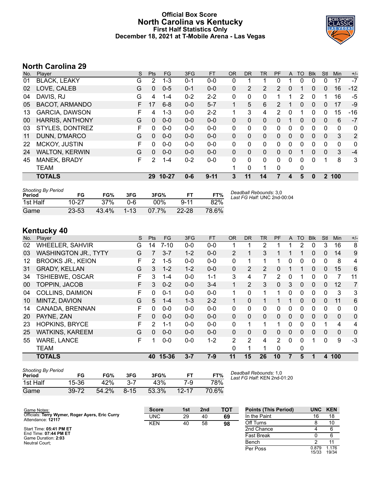#### **Official Box Score North Carolina vs Kentucky First Half Statistics Only December 18, 2021 at T-Mobile Arena - Las Vegas**



# **North Carolina 29**

| No. | Player                 | S  | <b>Pts</b> | <b>FG</b> | 3FG     | <b>FT</b> | <b>OR</b>    | <b>DR</b>    | <b>TR</b>      | <b>PF</b>      | A        | <b>TO</b> | <b>Blk</b>   | Stl          | Min          | $+/-$          |
|-----|------------------------|----|------------|-----------|---------|-----------|--------------|--------------|----------------|----------------|----------|-----------|--------------|--------------|--------------|----------------|
| 01  | <b>BLACK, LEAKY</b>    | G  | 2          | $1 - 3$   | $0 - 1$ | $0-0$     | 0            |              |                | 0              |          | 0         | 0            | 0            | 17           | $-7$           |
| 02  | LOVE, CALEB            | G  | $\Omega$   | $0 - 5$   | $0 - 1$ | $0 - 0$   | 0            | 2            | $\overline{2}$ | $\mathcal{P}$  | 0        |           | $\mathbf{0}$ | $\mathbf{0}$ | 16           | $-12$          |
| 04  | DAVIS, RJ              | G  | 4          | $1 - 4$   | $0 - 2$ | $2 - 2$   | 0            | 0            | 0              |                |          | 2         | 0            |              | 16           | -5             |
| 05  | <b>BACOT, ARMANDO</b>  | F. | 17         | $6 - 8$   | $0 - 0$ | $5 - 7$   | $\mathbf{1}$ | 5            | 6              | $\overline{2}$ |          | 0         | $\Omega$     | 0            | 17           | -9             |
| 13  | <b>GARCIA, DAWSON</b>  | F  | 4          | $1 - 3$   | $0 - 0$ | $2 - 2$   | 1            | 3            | 4              | 2              | $\Omega$ | 1         | $\Omega$     | 0            | 15           | -16            |
| 00  | <b>HARRIS, ANTHONY</b> | G  | $\Omega$   | $0 - 0$   | $0 - 0$ | $0 - 0$   | 0            | $\Omega$     | 0              | 0              |          | 0         | $\mathbf{0}$ | 0            | 6            | $-7$           |
| 03  | STYLES, DONTREZ        | F  | 0          | $0 - 0$   | $0 - 0$ | $0 - 0$   | 0            | 0            | 0              | 0              | 0        | 0         | $\Omega$     | 0            | 0            | 0              |
| 11  | DUNN, D'MARCO          | G  | $\Omega$   | $0 - 0$   | $0 - 0$ | $0 - 0$   | $\Omega$     | $\mathbf{0}$ | $\Omega$       | 0              | $\Omega$ | $\Omega$  | $\mathbf{0}$ | 0            | 3            | $\overline{2}$ |
| 22  | MCKOY, JUSTIN          | F  | 0          | $0 - 0$   | $0 - 0$ | $0 - 0$   | 0            | 0            | 0              | 0              | 0        | 0         | $\Omega$     | 0            | $\mathbf{0}$ | 0              |
| 24  | <b>WALTON, KERWIN</b>  | G  | $\Omega$   | $0 - 0$   | $0 - 0$ | $0 - 0$   | 0            | $\Omega$     | 0              | 0              | 0        | 1         | $\Omega$     | $\mathbf{0}$ | 3            | $-4$           |
| 45  | MANEK, BRADY           | F  | 2          | $1 - 4$   | $0 - 2$ | $0 - 0$   | 0            | 0            | 0              | 0              | 0        | 0         | $\Omega$     | 1            | 8            | 3              |
|     | <b>TEAM</b>            |    |            |           |         |           | 1            | 0            | 1              | 0              |          | 0         |              |              |              |                |
|     | <b>TOTALS</b>          |    | 29         | $10 - 27$ | $0 - 6$ | $9 - 11$  | 3            | 11           | 14             | 7              | 4        | 5         | $\bf{0}$     | $\mathbf{2}$ | 100          |                |

| <b>Shooting By Period</b><br>Period | FG        | FG%   | 3FG      | 3FG%     | FT.       | FT%   | Deadball Rebounds: 3,0<br>Last FG Half: UNC 2nd-00:04 |
|-------------------------------------|-----------|-------|----------|----------|-----------|-------|-------------------------------------------------------|
| 1st Half                            | 10-27     | 37%   | በ-6      | 00%      | $Q - 11$  | 82%   |                                                       |
| Game                                | $23 - 53$ | 43.4% | $1 - 13$ | $07.7\%$ | $22 - 28$ | 78.6% |                                                       |

# **Kentucky 40**

| No. | Player                      | S | <b>Pts</b>     | FG       | 3FG     | <b>FT</b> | <b>OR</b>      | <b>DR</b>    | <b>TR</b>    | PF            | A        | <b>TO</b> | <b>Blk</b>   | Stl      | Min          | $+/-$          |
|-----|-----------------------------|---|----------------|----------|---------|-----------|----------------|--------------|--------------|---------------|----------|-----------|--------------|----------|--------------|----------------|
| 02  | <b>WHEELER, SAHVIR</b>      | G | 14             | $7 - 10$ | $0-0$   | $0 - 0$   | 1              |              | 2            |               |          | 2         | 0            | 3        | 16           | 8              |
| 03  | <b>WASHINGTON JR., TYTY</b> | G | $\overline{7}$ | $3 - 7$  | $1 - 2$ | $0 - 0$   | $\overline{2}$ |              | 3            |               |          |           | 0            | 0        | 14           | 9              |
| 12  | <b>BROOKS JR., KEION</b>    | F | 2              | $1 - 5$  | $0 - 0$ | $0 - 0$   | 0              |              |              |               | 0        | 0         | $\mathbf{0}$ | 0        | 8            | 4              |
| 31  | <b>GRADY, KELLAN</b>        | G | 3              | $1 - 2$  | $1 - 2$ | $0 - 0$   | $\Omega$       | 2            | 2            | $\Omega$      | 1        | 1         | $\Omega$     | $\Omega$ | 15           | 6              |
| 34  | TSHIEBWE, OSCAR             | F | 3              | $1 - 4$  | $0 - 0$ | $1 - 1$   | 3              | 4            |              | $\mathcal{P}$ | $\Omega$ |           | $\Omega$     | $\Omega$ |              | 11             |
| 00  | <b>TOPPIN, JACOB</b>        | F | 3              | $0 - 2$  | $0 - 0$ | $3 - 4$   | 1              | 2            | 3            | 0             | 3        | 0         | $\mathbf{0}$ | 0        | 12           | 7              |
| 04  | <b>COLLINS, DAIMION</b>     | F | 0              | $0 - 1$  | $0 - 0$ | $0 - 0$   | 1.             | 0            |              |               | 0        | 0         | $\mathbf{0}$ | $\Omega$ | 3            | 3              |
| 10  | MINTZ, DAVION               | G | 5              | $1 - 4$  | $1 - 3$ | $2 - 2$   |                | 0            |              |               | 1        | 0         | $\mathbf{0}$ | $\Omega$ | 11           | 6              |
| 14  | CANADA, BRENNAN             | F | 0              | $0 - 0$  | $0-0$   | $0-0$     | 0              | $\mathbf{0}$ | $\mathbf{0}$ | $\Omega$      | 0        | 0         | $\mathbf{0}$ | 0        | 0            | 0              |
| 20  | PAYNE, ZAN                  | F | 0              | $0 - 0$  | $0 - 0$ | $0 - 0$   | $\Omega$       | $\Omega$     | $\mathbf{0}$ | $\Omega$      | $\Omega$ | 0         | $\mathbf{0}$ | $\Omega$ | $\mathbf{0}$ | $\mathbf{0}$   |
| 23  | <b>HOPKINS, BRYCE</b>       | F | 2              | $1 - 1$  | $0 - 0$ | $0 - 0$   | 0              |              |              |               | $\Omega$ | 0         | 0            |          | 4            | 4              |
| 25  | <b>WATKINS, KAREEM</b>      | G | $\Omega$       | $0-0$    | $0 - 0$ | $0 - 0$   | $\Omega$       | $\Omega$     | $\Omega$     | $\Omega$      | $\Omega$ | $\Omega$  | $\Omega$     | $\Omega$ | $\mathbf{0}$ | $\overline{0}$ |
| 55  | <b>WARE, LANCE</b>          | F |                | $0-0$    | $0 - 0$ | $1 - 2$   | 2              | 2            | 4            | 2             | 0        | 0         |              | 0        | 9            | $-3$           |
|     | <b>TEAM</b>                 |   |                |          |         |           | 0              |              |              | $\Omega$      |          | 0         |              |          |              |                |
|     | <b>TOTALS</b>               |   | 40             | 15-36    | $3 - 7$ | $7-9$     | 11             | 15           | 26           | 10            |          | 5         |              | 4        | 100          |                |

| <b>Shooting By Period</b><br>Period | FG    | FG%   | 3FG      | 3FG%  |           | FT%   | Deadball Rebounds: 1,0<br>Last FG Half: KEN 2nd-01:20 |
|-------------------------------------|-------|-------|----------|-------|-----------|-------|-------------------------------------------------------|
| 1st Half                            | 15 36 | 42%   | $3 - 7$  | 43%   | 7-9       | 78%   |                                                       |
| Game                                | 39-72 | 54.2% | $8 - 15$ | 53.3% | $12 - 17$ | 70.6% |                                                       |

| Game Notes:                                                          | <b>Score</b> | 1st | 2 <sub>nd</sub> | <b>TOT</b> | <b>Points (This Period)</b> |                | UNC KEN        |
|----------------------------------------------------------------------|--------------|-----|-----------------|------------|-----------------------------|----------------|----------------|
| Officials: Terry Wymer, Roger Ayers, Eric Curry<br>Attendance: 12117 | <b>UNC</b>   | 29  | 40              | 69         | In the Paint                | 16             | 18             |
|                                                                      | <b>KEN</b>   | 40  | 58              | 98         | Off Turns                   |                | 10             |
| Start Time: 05:41 PM ET                                              |              |     |                 |            | 2nd Chance                  |                |                |
| End Time: 07:44 PM ET<br>Game Duration: 2:03                         |              |     |                 |            | <b>Fast Break</b>           |                |                |
| Neutral Court:                                                       |              |     |                 |            | Bench                       |                |                |
|                                                                      |              |     |                 |            | Per Poss                    | 0.879<br>15/33 | 1.176<br>19/34 |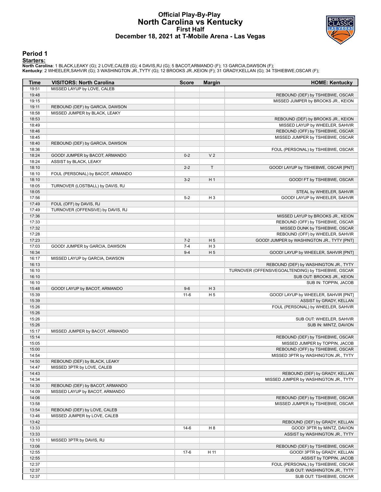### **Official Play-By-Play North Carolina vs Kentucky First Half December 18, 2021 at T-Mobile Arena - Las Vegas**



#### **Period 1**

<mark>Starters:</mark><br>North Carolina: 1 BLACK,LEAKY (G); 2 LOVE,CALEB (G); 4 DAVIS,RJ (G); 5 BACOT,ARMANDO (F); 13 GARCIA,DAWSON (F);<br>**Kentucky**: 2 WHEELER,SAHVIR (G); 3 WASHINGTON JR.,TYTY (G); 12 BROOKS JR.,KEION (F); 31 GRADY,KEL

| Time           | <b>VISITORS: North Carolina</b>   | <b>Score</b> | <b>Margin</b>  | <b>HOME: Kentucky</b>                                           |
|----------------|-----------------------------------|--------------|----------------|-----------------------------------------------------------------|
| 19:51          | MISSED LAYUP by LOVE, CALEB       |              |                |                                                                 |
| 19:48          |                                   |              |                | REBOUND (DEF) by TSHIEBWE, OSCAR                                |
| 19:15          |                                   |              |                | MISSED JUMPER by BROOKS JR., KEION                              |
| 19:11          | REBOUND (DEF) by GARCIA, DAWSON   |              |                |                                                                 |
| 18:58          | MISSED JUMPER by BLACK, LEAKY     |              |                |                                                                 |
| 18:53          |                                   |              |                | REBOUND (DEF) by BROOKS JR., KEION                              |
| 18:49          |                                   |              |                | MISSED LAYUP by WHEELER, SAHVIR                                 |
| 18:46          |                                   |              |                | REBOUND (OFF) by TSHIEBWE, OSCAR                                |
| 18:45          |                                   |              |                | MISSED JUMPER by TSHIEBWE, OSCAR                                |
| 18:40          | REBOUND (DEF) by GARCIA, DAWSON   |              |                |                                                                 |
| 18:36          |                                   |              |                | FOUL (PERSONAL) by TSHIEBWE, OSCAR                              |
| 18:24          | GOOD! JUMPER by BACOT, ARMANDO    | $0 - 2$      | V <sub>2</sub> |                                                                 |
| 18:24          | ASSIST by BLACK, LEAKY            |              |                |                                                                 |
| 18:10          |                                   | $2 - 2$      | T              | GOOD! LAYUP by TSHIEBWE, OSCAR [PNT]                            |
| 18:10          | FOUL (PERSONAL) by BACOT, ARMANDO |              |                |                                                                 |
| 18:10          |                                   | $3 - 2$      | H <sub>1</sub> | GOOD! FT by TSHIEBWE, OSCAR                                     |
| 18:05          | TURNOVER (LOSTBALL) by DAVIS, RJ  |              |                |                                                                 |
| 18:05          |                                   |              |                | STEAL by WHEELER, SAHVIR                                        |
| 17:56          |                                   | $5 - 2$      | $H_3$          | GOOD! LAYUP by WHEELER, SAHVIR                                  |
| 17:49          | FOUL (OFF) by DAVIS, RJ           |              |                |                                                                 |
| 17:49          | TURNOVER (OFFENSIVE) by DAVIS, RJ |              |                |                                                                 |
| 17:36          |                                   |              |                | MISSED LAYUP by BROOKS JR., KEION                               |
| 17:33          |                                   |              |                | REBOUND (OFF) by TSHIEBWE, OSCAR                                |
| 17:32          |                                   |              |                | MISSED DUNK by TSHIEBWE, OSCAR                                  |
| 17:28          |                                   |              |                | REBOUND (OFF) by WHEELER, SAHVIR                                |
| 17:23          |                                   | $7 - 2$      | H <sub>5</sub> | GOOD! JUMPER by WASHINGTON JR., TYTY [PNT]                      |
| 17:03          | GOOD! JUMPER by GARCIA, DAWSON    | $7 - 4$      | H <sub>3</sub> |                                                                 |
| 16:34          |                                   | $9 - 4$      | H <sub>5</sub> | GOOD! LAYUP by WHEELER, SAHVIR [PNT]                            |
| 16:17          | MISSED LAYUP by GARCIA, DAWSON    |              |                |                                                                 |
| 16:13          |                                   |              |                | REBOUND (DEF) by WASHINGTON JR., TYTY                           |
| 16:10          |                                   |              |                | TURNOVER (OFFENSIVEGOALTENDING) by TSHIEBWE, OSCAR              |
| 16:10          |                                   |              |                | SUB OUT: BROOKS JR., KEION                                      |
| 16:10          |                                   |              |                | SUB IN: TOPPIN, JACOB                                           |
| 15:48          | GOOD! LAYUP by BACOT, ARMANDO     | $9-6$        | $H_3$          |                                                                 |
| 15:39<br>15:39 |                                   | $11-6$       | H <sub>5</sub> | GOOD! LAYUP by WHEELER, SAHVIR [PNT]<br>ASSIST by GRADY, KELLAN |
| 15:26          |                                   |              |                | FOUL (PERSONAL) by WHEELER, SAHVIR                              |
| 15:26          |                                   |              |                |                                                                 |
| 15:26          |                                   |              |                | SUB OUT: WHEELER, SAHVIR                                        |
| 15:26          |                                   |              |                | SUB IN: MINTZ, DAVION                                           |
| 15:17          | MISSED JUMPER by BACOT, ARMANDO   |              |                |                                                                 |
| 15:14          |                                   |              |                | REBOUND (DEF) by TSHIEBWE, OSCAR                                |
| 15:05          |                                   |              |                | MISSED JUMPER by TOPPIN, JACOB                                  |
| 15:00          |                                   |              |                | REBOUND (OFF) by TSHIEBWE, OSCAR                                |
| 14:54          |                                   |              |                | MISSED 3PTR by WASHINGTON JR., TYTY                             |
| 14:50          | REBOUND (DEF) by BLACK, LEAKY     |              |                |                                                                 |
| 14:47          | MISSED 3PTR by LOVE, CALEB        |              |                |                                                                 |
| 14:43          |                                   |              |                | REBOUND (DEF) by GRADY, KELLAN                                  |
| 14:34          |                                   |              |                | MISSED JUMPER by WASHINGTON JR., TYTY                           |
| 14:30          | REBOUND (DEF) by BACOT, ARMANDO   |              |                |                                                                 |
| 14:09          | MISSED LAYUP by BACOT, ARMANDO    |              |                |                                                                 |
| 14:06          |                                   |              |                | REBOUND (DEF) by TSHIEBWE, OSCAR                                |
| 13:58          |                                   |              |                | MISSED JUMPER by TSHIEBWE, OSCAR                                |
| 13:54          | REBOUND (DEF) by LOVE, CALEB      |              |                |                                                                 |
| 13:46          | MISSED JUMPER by LOVE, CALEB      |              |                |                                                                 |
| 13:42          |                                   |              |                | REBOUND (DEF) by GRADY, KELLAN                                  |
| 13:33          |                                   | $14-6$       | H <sub>8</sub> | GOOD! 3PTR by MINTZ, DAVION                                     |
| 13:33          |                                   |              |                | ASSIST by WASHINGTON JR., TYTY                                  |
| 13:10          | MISSED 3PTR by DAVIS, RJ          |              |                |                                                                 |
| 13:06          |                                   |              |                | REBOUND (DEF) by TSHIEBWE, OSCAR                                |
| 12:55          |                                   | $17-6$       | H 11           | GOOD! 3PTR by GRADY, KELLAN                                     |
| 12:55          |                                   |              |                | ASSIST by TOPPIN, JACOB                                         |
| 12:37          |                                   |              |                | FOUL (PERSONAL) by TSHIEBWE, OSCAR                              |
| 12:37          |                                   |              |                | SUB OUT: WASHINGTON JR., TYTY                                   |
| 12:37          |                                   |              |                | SUB OUT: TSHIEBWE, OSCAR                                        |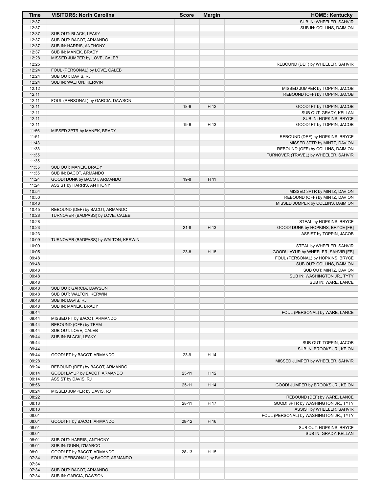| Time  | <b>VISITORS: North Carolina</b>      | <b>Score</b> | <b>Margin</b> | <b>HOME: Kentucky</b>                   |
|-------|--------------------------------------|--------------|---------------|-----------------------------------------|
| 12:37 |                                      |              |               | SUB IN: WHEELER, SAHVIR                 |
| 12:37 |                                      |              |               | SUB IN: COLLINS, DAIMION                |
| 12:37 | SUB OUT: BLACK, LEAKY                |              |               |                                         |
| 12:37 | SUB OUT: BACOT, ARMANDO              |              |               |                                         |
| 12:37 | SUB IN: HARRIS, ANTHONY              |              |               |                                         |
| 12:37 | SUB IN: MANEK, BRADY                 |              |               |                                         |
| 12:28 | MISSED JUMPER by LOVE, CALEB         |              |               |                                         |
| 12:25 |                                      |              |               | REBOUND (DEF) by WHEELER, SAHVIR        |
| 12:24 | FOUL (PERSONAL) by LOVE, CALEB       |              |               |                                         |
| 12:24 | SUB OUT: DAVIS, RJ                   |              |               |                                         |
| 12:24 | SUB IN: WALTON, KERWIN               |              |               |                                         |
| 12:12 |                                      |              |               | MISSED JUMPER by TOPPIN, JACOB          |
| 12:11 |                                      |              |               | REBOUND (OFF) by TOPPIN, JACOB          |
| 12:11 | FOUL (PERSONAL) by GARCIA, DAWSON    |              |               |                                         |
| 12:11 |                                      | $18-6$       | H 12          | GOOD! FT by TOPPIN, JACOB               |
| 12:11 |                                      |              |               | SUB OUT: GRADY, KELLAN                  |
| 12:11 |                                      |              |               | SUB IN: HOPKINS, BRYCE                  |
| 12:11 |                                      | $19-6$       | H 13          | GOOD! FT by TOPPIN, JACOB               |
| 11:56 | MISSED 3PTR by MANEK, BRADY          |              |               |                                         |
| 11:51 |                                      |              |               | REBOUND (DEF) by HOPKINS, BRYCE         |
| 11:43 |                                      |              |               | MISSED 3PTR by MINTZ, DAVION            |
| 11:38 |                                      |              |               | REBOUND (OFF) by COLLINS, DAIMION       |
| 11:35 |                                      |              |               | TURNOVER (TRAVEL) by WHEELER, SAHVIR    |
| 11:35 |                                      |              |               |                                         |
| 11:35 | SUB OUT: MANEK, BRADY                |              |               |                                         |
| 11:35 | SUB IN: BACOT, ARMANDO               |              |               |                                         |
| 11:24 | GOOD! DUNK by BACOT, ARMANDO         | $19-8$       | H 11          |                                         |
| 11:24 | ASSIST by HARRIS, ANTHONY            |              |               |                                         |
| 10:54 |                                      |              |               | MISSED 3PTR by MINTZ, DAVION            |
| 10:50 |                                      |              |               | REBOUND (OFF) by MINTZ, DAVION          |
| 10:48 |                                      |              |               | MISSED JUMPER by COLLINS, DAIMION       |
| 10:45 | REBOUND (DEF) by BACOT, ARMANDO      |              |               |                                         |
| 10:28 | TURNOVER (BADPASS) by LOVE, CALEB    |              |               |                                         |
| 10:28 |                                      |              |               | STEAL by HOPKINS, BRYCE                 |
| 10:23 |                                      | $21 - 8$     | H 13          | GOOD! DUNK by HOPKINS, BRYCE [FB]       |
| 10:23 |                                      |              |               | ASSIST by TOPPIN, JACOB                 |
| 10:09 | TURNOVER (BADPASS) by WALTON, KERWIN |              |               |                                         |
| 10:09 |                                      |              |               | STEAL by WHEELER, SAHVIR                |
| 10:05 |                                      | $23 - 8$     | H 15          | GOOD! LAYUP by WHEELER, SAHVIR [FB]     |
| 09:48 |                                      |              |               | FOUL (PERSONAL) by HOPKINS, BRYCE       |
| 09:48 |                                      |              |               | SUB OUT: COLLINS, DAIMION               |
| 09:48 |                                      |              |               | SUB OUT: MINTZ, DAVION                  |
| 09:48 |                                      |              |               | SUB IN: WASHINGTON JR., TYTY            |
| 09:48 |                                      |              |               | SUB IN: WARE, LANCE                     |
| 09:48 | SUB OUT: GARCIA, DAWSON              |              |               |                                         |
| 09:48 | SUB OUT: WALTON, KERWIN              |              |               |                                         |
| 09:48 | SUB IN: DAVIS, RJ                    |              |               |                                         |
| 09:48 | SUB IN: MANEK, BRADY                 |              |               |                                         |
| 09:44 |                                      |              |               | FOUL (PERSONAL) by WARE, LANCE          |
| 09:44 | MISSED FT by BACOT, ARMANDO          |              |               |                                         |
| 09:44 | REBOUND (OFF) by TEAM                |              |               |                                         |
| 09:44 | SUB OUT: LOVE, CALEB                 |              |               |                                         |
| 09:44 | SUB IN: BLACK, LEAKY                 |              |               |                                         |
| 09:44 |                                      |              |               | SUB OUT: TOPPIN, JACOB                  |
| 09:44 |                                      |              |               | SUB IN: BROOKS JR., KEION               |
| 09:44 | GOOD! FT by BACOT, ARMANDO           | $23-9$       | H 14          |                                         |
| 09:28 |                                      |              |               | MISSED JUMPER by WHEELER, SAHVIR        |
| 09:24 | REBOUND (DEF) by BACOT, ARMANDO      |              |               |                                         |
| 09:14 | GOOD! LAYUP by BACOT, ARMANDO        | $23 - 11$    | H 12          |                                         |
| 09:14 | ASSIST by DAVIS, RJ                  |              |               |                                         |
| 08:56 |                                      | $25 - 11$    | H 14          | GOOD! JUMPER by BROOKS JR., KEION       |
| 08:24 | MISSED JUMPER by DAVIS, RJ           |              |               |                                         |
| 08:22 |                                      |              |               | REBOUND (DEF) by WARE, LANCE            |
| 08:13 |                                      | $28 - 11$    | H 17          | GOOD! 3PTR by WASHINGTON JR., TYTY      |
| 08:13 |                                      |              |               | ASSIST by WHEELER, SAHVIR               |
| 08:01 |                                      |              |               | FOUL (PERSONAL) by WASHINGTON JR., TYTY |
| 08:01 | GOOD! FT by BACOT, ARMANDO           | $28-12$      | H 16          |                                         |
| 08:01 |                                      |              |               | SUB OUT: HOPKINS, BRYCE                 |
| 08:01 |                                      |              |               | SUB IN: GRADY, KELLAN                   |
| 08:01 | SUB OUT: HARRIS, ANTHONY             |              |               |                                         |
| 08:01 | SUB IN: DUNN, D'MARCO                |              |               |                                         |
| 08:01 | GOOD! FT by BACOT, ARMANDO           | 28-13        | H 15          |                                         |
| 07:34 | FOUL (PERSONAL) by BACOT, ARMANDO    |              |               |                                         |
| 07:34 |                                      |              |               |                                         |
| 07:34 | SUB OUT: BACOT, ARMANDO              |              |               |                                         |
| 07:34 | SUB IN: GARCIA, DAWSON               |              |               |                                         |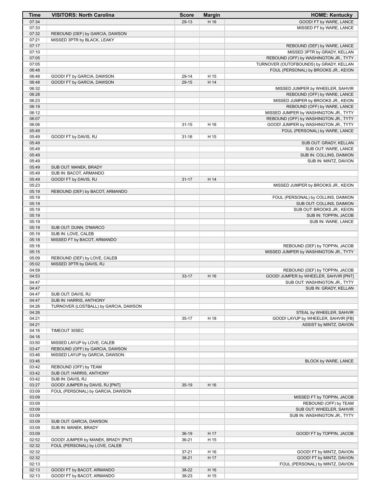| Time           | <b>VISITORS: North Carolina</b>                          | <b>Score</b> | <b>Margin</b> | <b>HOME: Kentucky</b>                                           |
|----------------|----------------------------------------------------------|--------------|---------------|-----------------------------------------------------------------|
| 07:34          |                                                          | 29-13        | H 16          | GOOD! FT by WARE, LANCE                                         |
| 07:33          |                                                          |              |               | MISSED FT by WARE, LANCE                                        |
| 07:32          | REBOUND (DEF) by GARCIA, DAWSON                          |              |               |                                                                 |
| 07:21          | MISSED 3PTR by BLACK, LEAKY                              |              |               |                                                                 |
| 07:17          |                                                          |              |               | REBOUND (DEF) by WARE, LANCE                                    |
| 07:10          |                                                          |              |               | MISSED 3PTR by GRADY, KELLAN                                    |
| 07:05          |                                                          |              |               | REBOUND (OFF) by WASHINGTON JR., TYTY                           |
| 07:05          |                                                          |              |               | TURNOVER (OUTOFBOUNDS) by GRADY, KELLAN                         |
| 06:48          |                                                          |              |               | FOUL (PERSONAL) by BROOKS JR., KEION                            |
| 06:48<br>06:48 | GOOD! FT by GARCIA, DAWSON<br>GOOD! FT by GARCIA, DAWSON | 29-14        | H 15<br>H 14  |                                                                 |
| 06:32          |                                                          | 29-15        |               | MISSED JUMPER by WHEELER, SAHVIR                                |
| 06:28          |                                                          |              |               | REBOUND (OFF) by WARE, LANCE                                    |
| 06:23          |                                                          |              |               | MISSED JUMPER by BROOKS JR., KEION                              |
| 06:19          |                                                          |              |               | REBOUND (OFF) by WARE, LANCE                                    |
| 06:12          |                                                          |              |               | MISSED JUMPER by WASHINGTON JR., TYTY                           |
| 06:07          |                                                          |              |               | REBOUND (OFF) by WASHINGTON JR., TYTY                           |
| 06:06          |                                                          | $31 - 15$    | H 16          | GOOD! JUMPER by WASHINGTON JR., TYTY                            |
| 05:49          |                                                          |              |               | FOUL (PERSONAL) by WARE, LANCE                                  |
| 05:49          | GOOD! FT by DAVIS, RJ                                    | $31 - 16$    | H 15          |                                                                 |
| 05:49          |                                                          |              |               | SUB OUT: GRADY, KELLAN                                          |
| 05:49          |                                                          |              |               | SUB OUT: WARE, LANCE                                            |
| 05:49          |                                                          |              |               | SUB IN: COLLINS, DAIMION                                        |
| 05:49          |                                                          |              |               | SUB IN: MINTZ, DAVION                                           |
| 05:49          | SUB OUT: MANEK, BRADY                                    |              |               |                                                                 |
| 05:49          | SUB IN: BACOT, ARMANDO                                   |              |               |                                                                 |
| 05:49          | GOOD! FT by DAVIS, RJ                                    | $31 - 17$    | H 14          |                                                                 |
| 05:23          |                                                          |              |               | MISSED JUMPER by BROOKS JR., KEION                              |
| 05:19          | REBOUND (DEF) by BACOT, ARMANDO                          |              |               |                                                                 |
| 05:19<br>05:19 |                                                          |              |               | FOUL (PERSONAL) by COLLINS, DAIMION                             |
| 05:19          |                                                          |              |               | SUB OUT: COLLINS, DAIMION<br>SUB OUT: BROOKS JR., KEION         |
| 05:19          |                                                          |              |               | SUB IN: TOPPIN, JACOB                                           |
| 05:19          |                                                          |              |               | SUB IN: WARE, LANCE                                             |
| 05:19          | SUB OUT: DUNN, D'MARCO                                   |              |               |                                                                 |
| 05:19          | SUB IN: LOVE, CALEB                                      |              |               |                                                                 |
| 05:18          | MISSED FT by BACOT, ARMANDO                              |              |               |                                                                 |
| 05:18          |                                                          |              |               | REBOUND (DEF) by TOPPIN, JACOB                                  |
| 05:15          |                                                          |              |               | MISSED JUMPER by WASHINGTON JR., TYTY                           |
| 05:09          | REBOUND (DEF) by LOVE, CALEB                             |              |               |                                                                 |
| 05:02          | MISSED 3PTR by DAVIS, RJ                                 |              |               |                                                                 |
| 04:59          |                                                          |              |               | REBOUND (DEF) by TOPPIN, JACOB                                  |
| 04:53          |                                                          | $33 - 17$    | H 16          | GOOD! JUMPER by WHEELER, SAHVIR [PNT]                           |
| 04:47          |                                                          |              |               | SUB OUT: WASHINGTON JR., TYTY                                   |
| 04:47          |                                                          |              |               | SUB IN: GRADY, KELLAN                                           |
| 04:47          | SUB OUT: DAVIS, RJ                                       |              |               |                                                                 |
| 04:47          | SUB IN: HARRIS, ANTHONY                                  |              |               |                                                                 |
| 04:26          | TURNOVER (LOSTBALL) by GARCIA, DAWSON                    |              |               |                                                                 |
| 04:26<br>04:21 |                                                          |              |               | STEAL by WHEELER, SAHVIR<br>GOOD! LAYUP by WHEELER, SAHVIR [FB] |
| 04:21          |                                                          | $35-17$      | H 18          | ASSIST by MINTZ, DAVION                                         |
| 04:16          | TIMEOUT 30SEC                                            |              |               |                                                                 |
| 04:16          |                                                          |              |               |                                                                 |
| 03:50          | MISSED LAYUP by LOVE, CALEB                              |              |               |                                                                 |
| 03:47          | REBOUND (OFF) by GARCIA, DAWSON                          |              |               |                                                                 |
| 03:46          | MISSED LAYUP by GARCIA, DAWSON                           |              |               |                                                                 |
| 03:46          |                                                          |              |               | BLOCK by WARE, LANCE                                            |
| 03:42          | REBOUND (OFF) by TEAM                                    |              |               |                                                                 |
| 03:42          | SUB OUT: HARRIS, ANTHONY                                 |              |               |                                                                 |
| 03:42          | SUB IN: DAVIS, RJ                                        |              |               |                                                                 |
| 03:27          | GOOD! JUMPER by DAVIS, RJ [PNT]                          | $35-19$      | H 16          |                                                                 |
| 03:09          | FOUL (PERSONAL) by GARCIA, DAWSON                        |              |               |                                                                 |
| 03:09          |                                                          |              |               | MISSED FT by TOPPIN, JACOB                                      |
| 03:09          |                                                          |              |               | REBOUND (OFF) by TEAM                                           |
| 03:09          |                                                          |              |               | SUB OUT: WHEELER, SAHVIR                                        |
| 03:09          |                                                          |              |               | SUB IN: WASHINGTON JR., TYTY                                    |
| 03:09          | SUB OUT: GARCIA, DAWSON                                  |              |               |                                                                 |
| 03:09          | SUB IN: MANEK, BRADY                                     |              |               |                                                                 |
| 03:09          |                                                          | $36-19$      | H 17          | GOOD! FT by TOPPIN, JACOB                                       |
| 02:52          | GOOD! JUMPER by MANEK, BRADY [PNT]                       | $36 - 21$    | H 15          |                                                                 |
| 02:32          | FOUL (PERSONAL) by LOVE, CALEB                           |              |               |                                                                 |
| 02:32          |                                                          | $37 - 21$    | H 16          | GOOD! FT by MINTZ, DAVION                                       |
| 02:32<br>02:13 |                                                          | 38-21        | H 17          | GOOD! FT by MINTZ, DAVION                                       |
| 02:13          | GOOD! FT by BACOT, ARMANDO                               | 38-22        | H 16          | FOUL (PERSONAL) by MINTZ, DAVION                                |
| 02:13          | GOOD! FT by BACOT, ARMANDO                               | 38-23        | H 15          |                                                                 |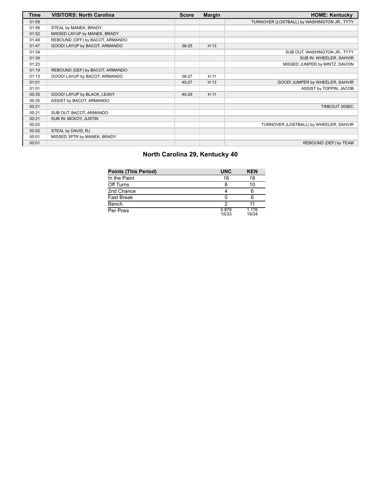| Time  | <b>VISITORS: North Carolina</b> | <b>Score</b> | <b>Margin</b> | <b>HOME: Kentucky</b>                       |
|-------|---------------------------------|--------------|---------------|---------------------------------------------|
| 01:59 |                                 |              |               | TURNOVER (LOSTBALL) by WASHINGTON JR., TYTY |
| 01:59 | STEAL by MANEK, BRADY           |              |               |                                             |
| 01:52 | MISSED LAYUP by MANEK, BRADY    |              |               |                                             |
| 01:48 | REBOUND (OFF) by BACOT, ARMANDO |              |               |                                             |
| 01:47 | GOOD! LAYUP by BACOT, ARMANDO   | 38-25        | H 13          |                                             |
| 01:34 |                                 |              |               | SUB OUT: WASHINGTON JR., TYTY               |
| 01:34 |                                 |              |               | SUB IN: WHEELER, SAHVIR                     |
| 01:23 |                                 |              |               | MISSED JUMPER by MINTZ, DAVION              |
| 01:19 | REBOUND (DEF) by BACOT, ARMANDO |              |               |                                             |
| 01:13 | GOOD! LAYUP by BACOT, ARMANDO   | 38-27        | H 11          |                                             |
| 01:01 |                                 | 40-27        | H 13          | GOOD! JUMPER by WHEELER, SAHVIR             |
| 01:01 |                                 |              |               | ASSIST by TOPPIN, JACOB                     |
| 00:35 | GOOD! LAYUP by BLACK, LEAKY     | 40-29        | H 11          |                                             |
| 00:35 | ASSIST by BACOT, ARMANDO        |              |               |                                             |
| 00:21 |                                 |              |               | TIMEOUT 30SEC                               |
| 00:21 | SUB OUT: BACOT, ARMANDO         |              |               |                                             |
| 00:21 | SUB IN: MCKOY, JUSTIN           |              |               |                                             |
| 00:02 |                                 |              |               | TURNOVER (LOSTBALL) by WHEELER, SAHVIR      |
| 00:02 | STEAL by DAVIS, RJ              |              |               |                                             |
| 00:01 | MISSED 3PTR by MANEK, BRADY     |              |               |                                             |
| 00:01 |                                 |              |               | REBOUND (DEF) by TEAM                       |

# **North Carolina 29, Kentucky 40**

| <b>Points (This Period)</b> | <b>UNC</b>     | <b>KEN</b>     |
|-----------------------------|----------------|----------------|
| In the Paint                | 16             | 18             |
| Off Turns                   |                | 10             |
| 2nd Chance                  |                |                |
| <b>Fast Break</b>           |                |                |
| Bench                       |                |                |
| Per Poss                    | 0.879<br>15/33 | 1.176<br>19/34 |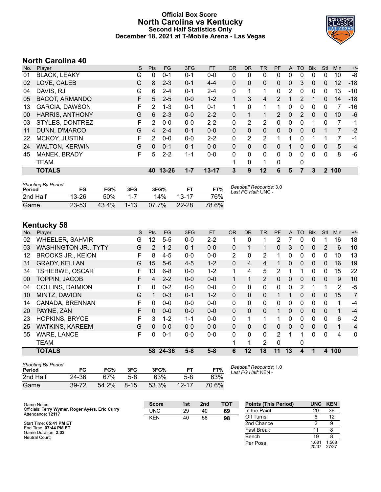### **Official Box Score North Carolina vs Kentucky Second Half Statistics Only December 18, 2021 at T-Mobile Arena - Las Vegas**



# **North Carolina 40**

| Plaver                 | S  | Pts           | <b>FG</b> | 3FG       | <b>FT</b> | <b>OR</b>    | DR.          | TR             | <b>PF</b>     |              | TO           | <b>B</b> lk | Stl            | Min | $+/-$ |
|------------------------|----|---------------|-----------|-----------|-----------|--------------|--------------|----------------|---------------|--------------|--------------|-------------|----------------|-----|-------|
| <b>BLACK, LEAKY</b>    | G  | 0             | $0 - 1$   | 0-1       | $0-0$     | 0            | 0            | 0              | 0             | 0            | 0            | $\Omega$    | 0              | 10  | -8    |
| LOVE, CALEB            | G  | 8             | $2 - 3$   | $0 - 1$   | $4 - 4$   | $\mathbf{0}$ | $\Omega$     | $\mathbf{0}$   | $\Omega$      | 0            | 3            | $\Omega$    | $\mathbf{0}$   | 12  | $-18$ |
| DAVIS, RJ              | G  | 6             | $2 - 4$   | $0 - 1$   | $2 - 4$   | $\mathbf{0}$ | 1            | 1.             | $\Omega$      | 2            | 0            | 0           | 0              | 13  | $-10$ |
| <b>BACOT, ARMANDO</b>  | F. | 5             | $2 - 5$   | $0 - 0$   | $1 - 2$   | $\mathbf{1}$ | 3            | 4              | 2             |              | 2            |             | $\mathbf{0}$   | 14  | $-18$ |
| <b>GARCIA, DAWSON</b>  | F  | 2             | $1 - 3$   | 0-1       | $0 - 1$   | 1            | 0            | 1              |               | 0            | 0            | $\Omega$    | 0              |     | -16   |
| <b>HARRIS, ANTHONY</b> | G  | 6             | $2 - 3$   | $0 - 0$   | $2 - 2$   | 0            | 1            | 1              | $\mathcal{P}$ | $\mathbf{0}$ | 2            | $\Omega$    | 0              | 10  | $-6$  |
| STYLES, DONTREZ        | F. | $\mathcal{P}$ | $0 - 0$   | $0 - 0$   | $2 - 2$   | 0            | 2            | $\overline{2}$ | 0             | 0            | 0            |             | $\Omega$       | 7   | $-1$  |
| DUNN, D'MARCO          | G  | 4             | $2 - 4$   | $0 - 1$   | $0 - 0$   | 0            | 0            | $\Omega$       | 0             | $\mathbf{0}$ | $\Omega$     | $\Omega$    |                |     | $-2$  |
| MCKOY, JUSTIN          | F. | 2             | $0 - 0$   | $0 - 0$   | $2 - 2$   | 0            | 2            | $\overline{2}$ | 1             | 1            | 0            |             | 1              | 7   | -1    |
| <b>WALTON, KERWIN</b>  | G  | $\Omega$      | $0 - 1$   | $0 - 1$   | $0 - 0$   | $\Omega$     | $\Omega$     | $\Omega$       | $\Omega$      | 1            | $\Omega$     | $\Omega$    | 0              | 5   | $-4$  |
| MANEK, BRADY           | F. | 5             | $2 - 2$   | $1 - 1$   | $0 - 0$   | 0            | $\mathbf{0}$ | $\mathbf{0}$   | $\Omega$      | $\Omega$     | $\mathbf{0}$ | $\Omega$    | 0              | 8   | -6    |
| <b>TEAM</b>            |    |               |           |           |           |              | 0            | 1              | 0             |              | 0            |             |                |     |       |
| <b>TOTALS</b>          |    | 40            |           | $1 - 7$   | $13 - 17$ | 3            | 9            | 12             | 6             | 5            | 7            | 3           | $\overline{2}$ |     |       |
|                        |    |               |           | $13 - 26$ |           |              |              |                |               |              |              | A           |                |     | 100   |

| <b>Shooting By Period</b><br>Period | FG        | FG%   | 3FG      | 3FG%     |           | FT%   | Deadball Rebounds: 3,0<br>Last FG Half: UNC - |
|-------------------------------------|-----------|-------|----------|----------|-----------|-------|-----------------------------------------------|
| 2nd Half                            | 13-26     | .50%  | $1 - 7$  | 14%      | $13-17$   | 76%   |                                               |
| Game                                | $23 - 53$ | 43.4% | $1 - 13$ | $07.7\%$ | $22 - 28$ | 78.6% |                                               |

# **Kentucky 58**

| No. | Plaver                      | S  | <b>Pts</b>     | <b>FG</b> | 3FG     | <b>FT</b> | <b>OR</b>      | <b>DR</b>    | <b>TR</b>      | <b>PF</b>     | A            | <b>TO</b> | <b>Blk</b>   | Stl          | Min | $+/-$       |
|-----|-----------------------------|----|----------------|-----------|---------|-----------|----------------|--------------|----------------|---------------|--------------|-----------|--------------|--------------|-----|-------------|
| 02  | <b>WHEELER, SAHVIR</b>      | G  | 12             | $5 - 5$   | $0 - 0$ | $2 - 2$   |                | $\Omega$     |                | 2             |              | 0         | $\Omega$     |              | 16  | 18          |
| 03  | <b>WASHINGTON JR., TYTY</b> | G  | $\overline{2}$ | $1 - 2$   | $0 - 1$ | $0 - 0$   | 0              |              |                | 0             | 3            | 0         | $\mathbf 0$  | 2            | 6   | 10          |
| 12  | <b>BROOKS JR., KEION</b>    | F  | 8              | $4 - 5$   | $0 - 0$ | $0-0$     | $\overline{2}$ | 0            | 2              |               | 0            | 0         | 0            | 0            | 10  | 13          |
| 31  | <b>GRADY, KELLAN</b>        | G  | 15             | $5-6$     | $4 - 5$ | $1 - 2$   | $\Omega$       | 4            | 4              |               | $\mathbf{0}$ | 0         | $\Omega$     | 0            | 16  | 19          |
| 34  | TSHIEBWE, OSCAR             | F  | 13             | $6 - 8$   | $0 - 0$ | $1 - 2$   | $\mathbf 1$    | 4            | 5              | 2             | 1            |           | 0            | 0            | 15  | 22          |
| 00  | <b>TOPPIN, JACOB</b>        | F. | $\overline{4}$ | $2 - 2$   | $0 - 0$ | $0-0$     | 1.             | $\mathbf{1}$ | $\overline{2}$ | $\Omega$      | 0            | 0         | $\Omega$     | $\mathbf{0}$ | 9   | 10          |
| 04  | <b>COLLINS, DAIMION</b>     | F  | 0              | $0 - 2$   | $0 - 0$ | $0 - 0$   | $\mathbf{0}$   | 0            | $\mathbf{0}$   | 0             | 0            | 2         |              |              | 2   | $-5$        |
| 10  | MINTZ, DAVION               | G  | 1              | $0 - 3$   | $0 - 1$ | $1 - 2$   | $\Omega$       | 0            | $\mathbf{0}$   |               | 1            | 0         | $\Omega$     | 0            | 15  | 7           |
| 14  | CANADA, BRENNAN             | F. | 0              | $0 - 0$   | $0 - 0$ | $0 - 0$   | $\Omega$       | $\mathbf{0}$ | $\Omega$       | 0             | $\Omega$     | 0         | $\Omega$     | $\Omega$     | 1   | $-4$        |
| 20  | PAYNE, ZAN                  | F  | 0              | $0 - 0$   | $0 - 0$ | $0 - 0$   | $\mathbf{0}$   | 0            | $\mathbf{0}$   |               | 0            | 0         | $\mathbf{0}$ | 0            | 1   | $-4$        |
| 23  | <b>HOPKINS, BRYCE</b>       | F. | 3              | $1 - 2$   | $1 - 1$ | $0 - 0$   | $\Omega$       |              |                |               | $\Omega$     | 0         | $\Omega$     | $\Omega$     | 6   | $-2$        |
| 25  | <b>WATKINS, KAREEM</b>      | G  | $\Omega$       | $0 - 0$   | $0 - 0$ | $0 - 0$   | 0              | 0            | $\mathbf{0}$   | 0             | $\Omega$     | 0         | $\mathbf{0}$ | $\mathbf{0}$ | 1   | $-4$        |
| 55  | <b>WARE, LANCE</b>          | F  | $\Omega$       | $0 - 1$   | $0 - 0$ | $0 - 0$   | 0              | 0            | $\Omega$       | $\mathcal{P}$ | 1            |           | $\Omega$     | $\Omega$     | 4   | $\mathbf 0$ |
|     | <b>TEAM</b>                 |    |                |           |         |           |                |              | 2              | $\Omega$      |              | 0         |              |              |     |             |
|     | <b>TOTALS</b>               |    | 58             | 24-36     | $5 - 8$ | $5 - 8$   | 6              | 12           | 18             | 11            | 13           | 4         |              | 4            | 100 |             |

| <b>Shooting By Period</b><br>Period | FG        | FG%   | 3FG      | 3FG%  | FТ        | FT%   | De<br>Las |
|-------------------------------------|-----------|-------|----------|-------|-----------|-------|-----------|
| 2nd Half                            | 24 36     | 67%   | 5-8      | 63%   | 5-8       | 63%   |           |
| Game                                | $39 - 72$ | 54.2% | $8 - 15$ | 53.3% | $12 - 17$ | 70.6% |           |

*Deadball Rebounds:* 1,0 *Last FG Half:* KEN -

| Game Notes:                                                          | <b>Score</b> | 1st | 2 <sub>nd</sub> | тот | <b>Points (This Period)</b> |              | UNC KEN       |
|----------------------------------------------------------------------|--------------|-----|-----------------|-----|-----------------------------|--------------|---------------|
| Officials: Terry Wymer, Roger Ayers, Eric Curry<br>Attendance: 12117 | UNC          | 29  | 40              | 69  | In the Paint                | 20           | 36            |
|                                                                      | <b>KEN</b>   | 40  | 58              | 98  | Off Turns                   |              | 12            |
| Start Time: 05:41 PM ET                                              |              |     |                 |     | 2nd Chance                  |              |               |
| End Time: 07:44 PM ET<br>Game Duration: 2:03                         |              |     |                 |     | <b>Fast Break</b>           |              |               |
| Neutral Court:                                                       |              |     |                 |     | Bench                       | 19           |               |
|                                                                      |              |     |                 |     | Per Poss                    | 081<br>20/37 | .568<br>27/37 |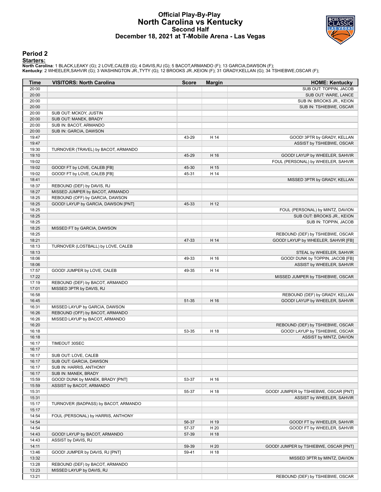### **Official Play-By-Play North Carolina vs Kentucky Second Half December 18, 2021 at T-Mobile Arena - Las Vegas**



#### **Period 2**

<mark>Starters:</mark><br>North Carolina: 1 BLACK,LEAKY (G); 2 LOVE,CALEB (G); 4 DAVIS,RJ (G); 5 BACOT,ARMANDO (F); 13 GARCIA,DAWSON (F);<br>**Kentucky**: 2 WHEELER,SAHVIR (G); 3 WASHINGTON JR.,TYTY (G); 12 BROOKS JR.,KEION (F); 31 GRADY,KEL

| Time           | <b>VISITORS: North Carolina</b>                                   | <b>Score</b> | <b>Margin</b> | <b>HOME: Kentucky</b>                 |
|----------------|-------------------------------------------------------------------|--------------|---------------|---------------------------------------|
| 20:00          |                                                                   |              |               | SUB OUT: TOPPIN, JACOB                |
| 20:00          |                                                                   |              |               | SUB OUT: WARE, LANCE                  |
| 20:00          |                                                                   |              |               | SUB IN: BROOKS JR., KEION             |
| 20:00          |                                                                   |              |               | SUB IN: TSHIEBWE, OSCAR               |
| 20:00          | SUB OUT: MCKOY, JUSTIN                                            |              |               |                                       |
| 20:00          | SUB OUT: MANEK, BRADY                                             |              |               |                                       |
| 20:00          | SUB IN: BACOT, ARMANDO                                            |              |               |                                       |
| 20:00          | SUB IN: GARCIA, DAWSON                                            |              |               |                                       |
| 19:47          |                                                                   | 43-29        | H 14          | GOOD! 3PTR by GRADY, KELLAN           |
| 19:47          |                                                                   |              |               | ASSIST by TSHIEBWE, OSCAR             |
| 19:30          | TURNOVER (TRAVEL) by BACOT, ARMANDO                               |              |               |                                       |
| 19:10          |                                                                   | 45-29        | H 16          | GOOD! LAYUP by WHEELER, SAHVIR        |
| 19:02<br>19:02 | GOOD! FT by LOVE, CALEB [FB]                                      | 45-30        | H 15          | FOUL (PERSONAL) by WHEELER, SAHVIR    |
| 19:02          | GOOD! FT by LOVE, CALEB [FB]                                      | 45-31        | H 14          |                                       |
| 18:41          |                                                                   |              |               | MISSED 3PTR by GRADY, KELLAN          |
| 18:37          | REBOUND (DEF) by DAVIS, RJ                                        |              |               |                                       |
| 18:27          | MISSED JUMPER by BACOT, ARMANDO                                   |              |               |                                       |
| 18:25          | REBOUND (OFF) by GARCIA, DAWSON                                   |              |               |                                       |
| 18:25          | GOOD! LAYUP by GARCIA, DAWSON [PNT]                               | 45-33        | H 12          |                                       |
| 18:25          |                                                                   |              |               | FOUL (PERSONAL) by MINTZ, DAVION      |
| 18:25          |                                                                   |              |               | SUB OUT: BROOKS JR., KEION            |
| 18:25          |                                                                   |              |               | SUB IN: TOPPIN, JACOB                 |
| 18:25          | MISSED FT by GARCIA, DAWSON                                       |              |               |                                       |
| 18:25          |                                                                   |              |               | REBOUND (DEF) by TSHIEBWE, OSCAR      |
| 18:21          |                                                                   | 47-33        | H 14          | GOOD! LAYUP by WHEELER, SAHVIR [FB]   |
| 18:13          | TURNOVER (LOSTBALL) by LOVE, CALEB                                |              |               |                                       |
| 18:13          |                                                                   |              |               | STEAL by WHEELER, SAHVIR              |
| 18:06          |                                                                   | 49-33        | H 16          | GOOD! DUNK by TOPPIN, JACOB [FB]      |
| 18:06          |                                                                   |              |               | ASSIST by WHEELER, SAHVIR             |
| 17:57          | GOOD! JUMPER by LOVE, CALEB                                       | 49-35        | H 14          |                                       |
| 17:22          |                                                                   |              |               | MISSED JUMPER by TSHIEBWE, OSCAR      |
| 17:19          | REBOUND (DEF) by BACOT, ARMANDO                                   |              |               |                                       |
| 17:01          | MISSED 3PTR by DAVIS, RJ                                          |              |               |                                       |
| 16:58          |                                                                   |              |               | REBOUND (DEF) by GRADY, KELLAN        |
| 16:45          |                                                                   | 51-35        | H 16          | GOOD! LAYUP by WHEELER, SAHVIR        |
| 16:31<br>16:26 | MISSED LAYUP by GARCIA, DAWSON<br>REBOUND (OFF) by BACOT, ARMANDO |              |               |                                       |
| 16:26          | MISSED LAYUP by BACOT, ARMANDO                                    |              |               |                                       |
| 16:20          |                                                                   |              |               | REBOUND (DEF) by TSHIEBWE, OSCAR      |
| 16:18          |                                                                   | 53-35        | H 18          | GOOD! LAYUP by TSHIEBWE, OSCAR        |
| 16:18          |                                                                   |              |               | ASSIST by MINTZ, DAVION               |
| 16:17          | TIMEOUT 30SEC                                                     |              |               |                                       |
| 16:17          |                                                                   |              |               |                                       |
| 16:17          | SUB OUT: LOVE, CALEB                                              |              |               |                                       |
| 16:17          | SUB OUT: GARCIA, DAWSON                                           |              |               |                                       |
| 16:17          | SUB IN: HARRIS, ANTHONY                                           |              |               |                                       |
| 16:17          | SUB IN: MANEK, BRADY                                              |              |               |                                       |
| 15:59          | GOOD! DUNK by MANEK, BRADY [PNT]                                  | 53-37        | H 16          |                                       |
| 15:59          | ASSIST by BACOT, ARMANDO                                          |              |               |                                       |
| 15:31          |                                                                   | 55-37        | H 18          | GOOD! JUMPER by TSHIEBWE, OSCAR [PNT] |
| 15:31          |                                                                   |              |               | ASSIST by WHEELER, SAHVIR             |
| 15:17          | TURNOVER (BADPASS) by BACOT, ARMANDO                              |              |               |                                       |
| 15:17          |                                                                   |              |               |                                       |
| 14:54          | FOUL (PERSONAL) by HARRIS, ANTHONY                                |              |               |                                       |
| 14:54          |                                                                   | 56-37        | H 19          | GOOD! FT by WHEELER, SAHVIR           |
| 14:54          |                                                                   | 57-37        | H 20          | GOOD! FT by WHEELER, SAHVIR           |
| 14:43          | GOOD! LAYUP by BACOT, ARMANDO                                     | 57-39        | H 18          |                                       |
| 14:43          | ASSIST by DAVIS, RJ                                               |              |               |                                       |
| 14:11          |                                                                   | 59-39        | H 20          | GOOD! JUMPER by TSHIEBWE, OSCAR [PNT] |
| 13:46          | GOOD! JUMPER by DAVIS, RJ [PNT]                                   | 59-41        | H 18          |                                       |
| 13:32          |                                                                   |              |               | MISSED 3PTR by MINTZ, DAVION          |
| 13:28          | REBOUND (DEF) by BACOT, ARMANDO                                   |              |               |                                       |
| 13:23          | MISSED LAYUP by DAVIS, RJ                                         |              |               |                                       |
| 13:21          |                                                                   |              |               | REBOUND (DEF) by TSHIEBWE, OSCAR      |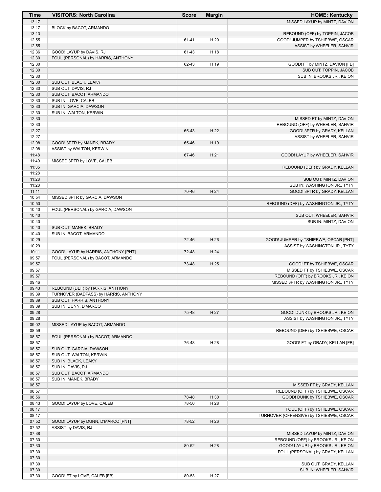| 13:17<br>13:17<br>BLOCK by BACOT, ARMANDO<br>13:13<br>12:55<br>GOOD! JUMPER by TSHIEBWE, OSCAR<br>61-41<br>H 20<br>12:55<br>ASSIST by WHEELER, SAHVIR<br>12:36<br>GOOD! LAYUP by DAVIS, RJ<br>61-43<br>H 18<br>12:30<br>FOUL (PERSONAL) by HARRIS, ANTHONY<br>12:30<br>62-43<br>H 19<br>GOOD! FT by MINTZ, DAVION [FB]<br>12:30<br>SUB OUT: TOPPIN, JACOB<br>12:30<br>12:30<br>SUB OUT: BLACK, LEAKY<br>12:30<br>SUB OUT: DAVIS, RJ<br>12:30<br>SUB OUT: BACOT, ARMANDO<br>12:30<br>SUB IN: LOVE, CALEB<br>12:30<br>SUB IN: GARCIA, DAWSON<br>12:30<br>SUB IN: WALTON, KERWIN<br>12:30<br>12:30<br>REBOUND (OFF) by WHEELER, SAHVIR<br>12:27<br>65-43<br>H 22<br>GOOD! 3PTR by GRADY, KELLAN<br>12:27<br>ASSIST by WHEELER, SAHVIR<br>12:08<br>H 19<br>GOOD! 3PTR by MANEK, BRADY<br>65-46<br>12:08<br>ASSIST by WALTON, KERWIN<br>11:48<br>H 21<br>67-46<br>GOOD! LAYUP by WHEELER, SAHVIR<br>11:40<br>MISSED 3PTR by LOVE, CALEB<br>11:35<br>11:28<br>11:28<br>11:28<br>11:11<br>70-46<br>H 24<br>10:54<br>MISSED 3PTR by GARCIA, DAWSON<br>10:50<br>REBOUND (DEF) by WASHINGTON JR., TYTY<br>FOUL (PERSONAL) by GARCIA, DAWSON<br>10:40<br>10:40<br>SUB OUT: WHEELER, SAHVIR<br>10:40<br>SUB IN: MINTZ, DAVION<br>10:40<br>SUB OUT: MANEK, BRADY<br>10:40<br>SUB IN: BACOT, ARMANDO<br>10:29<br>H 26<br>GOOD! JUMPER by TSHIEBWE, OSCAR [PNT]<br>72-46<br>10:29<br>GOOD! LAYUP by HARRIS, ANTHONY [PNT]<br>H 24<br>10:11<br>72-48<br>09:57<br>FOUL (PERSONAL) by BACOT, ARMANDO<br>09:57<br>73-48<br>H 25<br>09:57<br>09:57<br>09:46<br>MISSED 3PTR by WASHINGTON JR., TYTY<br>09:43<br>REBOUND (DEF) by HARRIS, ANTHONY<br>09:39<br>TURNOVER (BADPASS) by HARRIS, ANTHONY<br>09:39<br>SUB OUT: HARRIS, ANTHONY<br>09:39<br>SUB IN: DUNN, D'MARCO<br>09:28<br>GOOD! DUNK by BROOKS JR., KEION<br>75-48<br>H 27<br>09:28<br>ASSIST by WASHINGTON JR., TYTY<br>09:02<br>MISSED LAYUP by BACOT, ARMANDO<br>08:59<br>08:57<br>FOUL (PERSONAL) by BACOT, ARMANDO<br>08:57<br>H 28<br>76-48<br>08:57<br>SUB OUT: GARCIA, DAWSON<br>SUB OUT: WALTON, KERWIN<br>08:57 | <b>Time</b> | <b>VISITORS: North Carolina</b> | <b>Score</b> | <b>Margin</b> | <b>HOME: Kentucky</b>                   |
|------------------------------------------------------------------------------------------------------------------------------------------------------------------------------------------------------------------------------------------------------------------------------------------------------------------------------------------------------------------------------------------------------------------------------------------------------------------------------------------------------------------------------------------------------------------------------------------------------------------------------------------------------------------------------------------------------------------------------------------------------------------------------------------------------------------------------------------------------------------------------------------------------------------------------------------------------------------------------------------------------------------------------------------------------------------------------------------------------------------------------------------------------------------------------------------------------------------------------------------------------------------------------------------------------------------------------------------------------------------------------------------------------------------------------------------------------------------------------------------------------------------------------------------------------------------------------------------------------------------------------------------------------------------------------------------------------------------------------------------------------------------------------------------------------------------------------------------------------------------------------------------------------------------------------------------------------------------------------------------------------------------------------------------------------------------|-------------|---------------------------------|--------------|---------------|-----------------------------------------|
|                                                                                                                                                                                                                                                                                                                                                                                                                                                                                                                                                                                                                                                                                                                                                                                                                                                                                                                                                                                                                                                                                                                                                                                                                                                                                                                                                                                                                                                                                                                                                                                                                                                                                                                                                                                                                                                                                                                                                                                                                                                                  |             |                                 |              |               | MISSED LAYUP by MINTZ, DAVION           |
|                                                                                                                                                                                                                                                                                                                                                                                                                                                                                                                                                                                                                                                                                                                                                                                                                                                                                                                                                                                                                                                                                                                                                                                                                                                                                                                                                                                                                                                                                                                                                                                                                                                                                                                                                                                                                                                                                                                                                                                                                                                                  |             |                                 |              |               |                                         |
|                                                                                                                                                                                                                                                                                                                                                                                                                                                                                                                                                                                                                                                                                                                                                                                                                                                                                                                                                                                                                                                                                                                                                                                                                                                                                                                                                                                                                                                                                                                                                                                                                                                                                                                                                                                                                                                                                                                                                                                                                                                                  |             |                                 |              |               | REBOUND (OFF) by TOPPIN, JACOB          |
|                                                                                                                                                                                                                                                                                                                                                                                                                                                                                                                                                                                                                                                                                                                                                                                                                                                                                                                                                                                                                                                                                                                                                                                                                                                                                                                                                                                                                                                                                                                                                                                                                                                                                                                                                                                                                                                                                                                                                                                                                                                                  |             |                                 |              |               |                                         |
|                                                                                                                                                                                                                                                                                                                                                                                                                                                                                                                                                                                                                                                                                                                                                                                                                                                                                                                                                                                                                                                                                                                                                                                                                                                                                                                                                                                                                                                                                                                                                                                                                                                                                                                                                                                                                                                                                                                                                                                                                                                                  |             |                                 |              |               |                                         |
|                                                                                                                                                                                                                                                                                                                                                                                                                                                                                                                                                                                                                                                                                                                                                                                                                                                                                                                                                                                                                                                                                                                                                                                                                                                                                                                                                                                                                                                                                                                                                                                                                                                                                                                                                                                                                                                                                                                                                                                                                                                                  |             |                                 |              |               |                                         |
|                                                                                                                                                                                                                                                                                                                                                                                                                                                                                                                                                                                                                                                                                                                                                                                                                                                                                                                                                                                                                                                                                                                                                                                                                                                                                                                                                                                                                                                                                                                                                                                                                                                                                                                                                                                                                                                                                                                                                                                                                                                                  |             |                                 |              |               |                                         |
|                                                                                                                                                                                                                                                                                                                                                                                                                                                                                                                                                                                                                                                                                                                                                                                                                                                                                                                                                                                                                                                                                                                                                                                                                                                                                                                                                                                                                                                                                                                                                                                                                                                                                                                                                                                                                                                                                                                                                                                                                                                                  |             |                                 |              |               |                                         |
|                                                                                                                                                                                                                                                                                                                                                                                                                                                                                                                                                                                                                                                                                                                                                                                                                                                                                                                                                                                                                                                                                                                                                                                                                                                                                                                                                                                                                                                                                                                                                                                                                                                                                                                                                                                                                                                                                                                                                                                                                                                                  |             |                                 |              |               | SUB IN: BROOKS JR., KEION               |
|                                                                                                                                                                                                                                                                                                                                                                                                                                                                                                                                                                                                                                                                                                                                                                                                                                                                                                                                                                                                                                                                                                                                                                                                                                                                                                                                                                                                                                                                                                                                                                                                                                                                                                                                                                                                                                                                                                                                                                                                                                                                  |             |                                 |              |               |                                         |
|                                                                                                                                                                                                                                                                                                                                                                                                                                                                                                                                                                                                                                                                                                                                                                                                                                                                                                                                                                                                                                                                                                                                                                                                                                                                                                                                                                                                                                                                                                                                                                                                                                                                                                                                                                                                                                                                                                                                                                                                                                                                  |             |                                 |              |               |                                         |
|                                                                                                                                                                                                                                                                                                                                                                                                                                                                                                                                                                                                                                                                                                                                                                                                                                                                                                                                                                                                                                                                                                                                                                                                                                                                                                                                                                                                                                                                                                                                                                                                                                                                                                                                                                                                                                                                                                                                                                                                                                                                  |             |                                 |              |               |                                         |
|                                                                                                                                                                                                                                                                                                                                                                                                                                                                                                                                                                                                                                                                                                                                                                                                                                                                                                                                                                                                                                                                                                                                                                                                                                                                                                                                                                                                                                                                                                                                                                                                                                                                                                                                                                                                                                                                                                                                                                                                                                                                  |             |                                 |              |               |                                         |
|                                                                                                                                                                                                                                                                                                                                                                                                                                                                                                                                                                                                                                                                                                                                                                                                                                                                                                                                                                                                                                                                                                                                                                                                                                                                                                                                                                                                                                                                                                                                                                                                                                                                                                                                                                                                                                                                                                                                                                                                                                                                  |             |                                 |              |               |                                         |
|                                                                                                                                                                                                                                                                                                                                                                                                                                                                                                                                                                                                                                                                                                                                                                                                                                                                                                                                                                                                                                                                                                                                                                                                                                                                                                                                                                                                                                                                                                                                                                                                                                                                                                                                                                                                                                                                                                                                                                                                                                                                  |             |                                 |              |               |                                         |
|                                                                                                                                                                                                                                                                                                                                                                                                                                                                                                                                                                                                                                                                                                                                                                                                                                                                                                                                                                                                                                                                                                                                                                                                                                                                                                                                                                                                                                                                                                                                                                                                                                                                                                                                                                                                                                                                                                                                                                                                                                                                  |             |                                 |              |               | MISSED FT by MINTZ, DAVION              |
|                                                                                                                                                                                                                                                                                                                                                                                                                                                                                                                                                                                                                                                                                                                                                                                                                                                                                                                                                                                                                                                                                                                                                                                                                                                                                                                                                                                                                                                                                                                                                                                                                                                                                                                                                                                                                                                                                                                                                                                                                                                                  |             |                                 |              |               |                                         |
|                                                                                                                                                                                                                                                                                                                                                                                                                                                                                                                                                                                                                                                                                                                                                                                                                                                                                                                                                                                                                                                                                                                                                                                                                                                                                                                                                                                                                                                                                                                                                                                                                                                                                                                                                                                                                                                                                                                                                                                                                                                                  |             |                                 |              |               |                                         |
|                                                                                                                                                                                                                                                                                                                                                                                                                                                                                                                                                                                                                                                                                                                                                                                                                                                                                                                                                                                                                                                                                                                                                                                                                                                                                                                                                                                                                                                                                                                                                                                                                                                                                                                                                                                                                                                                                                                                                                                                                                                                  |             |                                 |              |               |                                         |
|                                                                                                                                                                                                                                                                                                                                                                                                                                                                                                                                                                                                                                                                                                                                                                                                                                                                                                                                                                                                                                                                                                                                                                                                                                                                                                                                                                                                                                                                                                                                                                                                                                                                                                                                                                                                                                                                                                                                                                                                                                                                  |             |                                 |              |               |                                         |
|                                                                                                                                                                                                                                                                                                                                                                                                                                                                                                                                                                                                                                                                                                                                                                                                                                                                                                                                                                                                                                                                                                                                                                                                                                                                                                                                                                                                                                                                                                                                                                                                                                                                                                                                                                                                                                                                                                                                                                                                                                                                  |             |                                 |              |               |                                         |
|                                                                                                                                                                                                                                                                                                                                                                                                                                                                                                                                                                                                                                                                                                                                                                                                                                                                                                                                                                                                                                                                                                                                                                                                                                                                                                                                                                                                                                                                                                                                                                                                                                                                                                                                                                                                                                                                                                                                                                                                                                                                  |             |                                 |              |               |                                         |
|                                                                                                                                                                                                                                                                                                                                                                                                                                                                                                                                                                                                                                                                                                                                                                                                                                                                                                                                                                                                                                                                                                                                                                                                                                                                                                                                                                                                                                                                                                                                                                                                                                                                                                                                                                                                                                                                                                                                                                                                                                                                  |             |                                 |              |               | REBOUND (DEF) by GRADY, KELLAN          |
|                                                                                                                                                                                                                                                                                                                                                                                                                                                                                                                                                                                                                                                                                                                                                                                                                                                                                                                                                                                                                                                                                                                                                                                                                                                                                                                                                                                                                                                                                                                                                                                                                                                                                                                                                                                                                                                                                                                                                                                                                                                                  |             |                                 |              |               |                                         |
|                                                                                                                                                                                                                                                                                                                                                                                                                                                                                                                                                                                                                                                                                                                                                                                                                                                                                                                                                                                                                                                                                                                                                                                                                                                                                                                                                                                                                                                                                                                                                                                                                                                                                                                                                                                                                                                                                                                                                                                                                                                                  |             |                                 |              |               | SUB OUT: MINTZ, DAVION                  |
|                                                                                                                                                                                                                                                                                                                                                                                                                                                                                                                                                                                                                                                                                                                                                                                                                                                                                                                                                                                                                                                                                                                                                                                                                                                                                                                                                                                                                                                                                                                                                                                                                                                                                                                                                                                                                                                                                                                                                                                                                                                                  |             |                                 |              |               | SUB IN: WASHINGTON JR., TYTY            |
|                                                                                                                                                                                                                                                                                                                                                                                                                                                                                                                                                                                                                                                                                                                                                                                                                                                                                                                                                                                                                                                                                                                                                                                                                                                                                                                                                                                                                                                                                                                                                                                                                                                                                                                                                                                                                                                                                                                                                                                                                                                                  |             |                                 |              |               | GOOD! 3PTR by GRADY, KELLAN             |
|                                                                                                                                                                                                                                                                                                                                                                                                                                                                                                                                                                                                                                                                                                                                                                                                                                                                                                                                                                                                                                                                                                                                                                                                                                                                                                                                                                                                                                                                                                                                                                                                                                                                                                                                                                                                                                                                                                                                                                                                                                                                  |             |                                 |              |               |                                         |
|                                                                                                                                                                                                                                                                                                                                                                                                                                                                                                                                                                                                                                                                                                                                                                                                                                                                                                                                                                                                                                                                                                                                                                                                                                                                                                                                                                                                                                                                                                                                                                                                                                                                                                                                                                                                                                                                                                                                                                                                                                                                  |             |                                 |              |               |                                         |
|                                                                                                                                                                                                                                                                                                                                                                                                                                                                                                                                                                                                                                                                                                                                                                                                                                                                                                                                                                                                                                                                                                                                                                                                                                                                                                                                                                                                                                                                                                                                                                                                                                                                                                                                                                                                                                                                                                                                                                                                                                                                  |             |                                 |              |               |                                         |
|                                                                                                                                                                                                                                                                                                                                                                                                                                                                                                                                                                                                                                                                                                                                                                                                                                                                                                                                                                                                                                                                                                                                                                                                                                                                                                                                                                                                                                                                                                                                                                                                                                                                                                                                                                                                                                                                                                                                                                                                                                                                  |             |                                 |              |               |                                         |
|                                                                                                                                                                                                                                                                                                                                                                                                                                                                                                                                                                                                                                                                                                                                                                                                                                                                                                                                                                                                                                                                                                                                                                                                                                                                                                                                                                                                                                                                                                                                                                                                                                                                                                                                                                                                                                                                                                                                                                                                                                                                  |             |                                 |              |               |                                         |
|                                                                                                                                                                                                                                                                                                                                                                                                                                                                                                                                                                                                                                                                                                                                                                                                                                                                                                                                                                                                                                                                                                                                                                                                                                                                                                                                                                                                                                                                                                                                                                                                                                                                                                                                                                                                                                                                                                                                                                                                                                                                  |             |                                 |              |               |                                         |
|                                                                                                                                                                                                                                                                                                                                                                                                                                                                                                                                                                                                                                                                                                                                                                                                                                                                                                                                                                                                                                                                                                                                                                                                                                                                                                                                                                                                                                                                                                                                                                                                                                                                                                                                                                                                                                                                                                                                                                                                                                                                  |             |                                 |              |               |                                         |
|                                                                                                                                                                                                                                                                                                                                                                                                                                                                                                                                                                                                                                                                                                                                                                                                                                                                                                                                                                                                                                                                                                                                                                                                                                                                                                                                                                                                                                                                                                                                                                                                                                                                                                                                                                                                                                                                                                                                                                                                                                                                  |             |                                 |              |               | ASSIST by WASHINGTON JR., TYTY          |
|                                                                                                                                                                                                                                                                                                                                                                                                                                                                                                                                                                                                                                                                                                                                                                                                                                                                                                                                                                                                                                                                                                                                                                                                                                                                                                                                                                                                                                                                                                                                                                                                                                                                                                                                                                                                                                                                                                                                                                                                                                                                  |             |                                 |              |               |                                         |
|                                                                                                                                                                                                                                                                                                                                                                                                                                                                                                                                                                                                                                                                                                                                                                                                                                                                                                                                                                                                                                                                                                                                                                                                                                                                                                                                                                                                                                                                                                                                                                                                                                                                                                                                                                                                                                                                                                                                                                                                                                                                  |             |                                 |              |               |                                         |
|                                                                                                                                                                                                                                                                                                                                                                                                                                                                                                                                                                                                                                                                                                                                                                                                                                                                                                                                                                                                                                                                                                                                                                                                                                                                                                                                                                                                                                                                                                                                                                                                                                                                                                                                                                                                                                                                                                                                                                                                                                                                  |             |                                 |              |               | GOOD! FT by TSHIEBWE, OSCAR             |
|                                                                                                                                                                                                                                                                                                                                                                                                                                                                                                                                                                                                                                                                                                                                                                                                                                                                                                                                                                                                                                                                                                                                                                                                                                                                                                                                                                                                                                                                                                                                                                                                                                                                                                                                                                                                                                                                                                                                                                                                                                                                  |             |                                 |              |               | MISSED FT by TSHIEBWE, OSCAR            |
|                                                                                                                                                                                                                                                                                                                                                                                                                                                                                                                                                                                                                                                                                                                                                                                                                                                                                                                                                                                                                                                                                                                                                                                                                                                                                                                                                                                                                                                                                                                                                                                                                                                                                                                                                                                                                                                                                                                                                                                                                                                                  |             |                                 |              |               | REBOUND (OFF) by BROOKS JR., KEION      |
|                                                                                                                                                                                                                                                                                                                                                                                                                                                                                                                                                                                                                                                                                                                                                                                                                                                                                                                                                                                                                                                                                                                                                                                                                                                                                                                                                                                                                                                                                                                                                                                                                                                                                                                                                                                                                                                                                                                                                                                                                                                                  |             |                                 |              |               |                                         |
|                                                                                                                                                                                                                                                                                                                                                                                                                                                                                                                                                                                                                                                                                                                                                                                                                                                                                                                                                                                                                                                                                                                                                                                                                                                                                                                                                                                                                                                                                                                                                                                                                                                                                                                                                                                                                                                                                                                                                                                                                                                                  |             |                                 |              |               |                                         |
|                                                                                                                                                                                                                                                                                                                                                                                                                                                                                                                                                                                                                                                                                                                                                                                                                                                                                                                                                                                                                                                                                                                                                                                                                                                                                                                                                                                                                                                                                                                                                                                                                                                                                                                                                                                                                                                                                                                                                                                                                                                                  |             |                                 |              |               |                                         |
|                                                                                                                                                                                                                                                                                                                                                                                                                                                                                                                                                                                                                                                                                                                                                                                                                                                                                                                                                                                                                                                                                                                                                                                                                                                                                                                                                                                                                                                                                                                                                                                                                                                                                                                                                                                                                                                                                                                                                                                                                                                                  |             |                                 |              |               |                                         |
|                                                                                                                                                                                                                                                                                                                                                                                                                                                                                                                                                                                                                                                                                                                                                                                                                                                                                                                                                                                                                                                                                                                                                                                                                                                                                                                                                                                                                                                                                                                                                                                                                                                                                                                                                                                                                                                                                                                                                                                                                                                                  |             |                                 |              |               |                                         |
|                                                                                                                                                                                                                                                                                                                                                                                                                                                                                                                                                                                                                                                                                                                                                                                                                                                                                                                                                                                                                                                                                                                                                                                                                                                                                                                                                                                                                                                                                                                                                                                                                                                                                                                                                                                                                                                                                                                                                                                                                                                                  |             |                                 |              |               |                                         |
|                                                                                                                                                                                                                                                                                                                                                                                                                                                                                                                                                                                                                                                                                                                                                                                                                                                                                                                                                                                                                                                                                                                                                                                                                                                                                                                                                                                                                                                                                                                                                                                                                                                                                                                                                                                                                                                                                                                                                                                                                                                                  |             |                                 |              |               |                                         |
|                                                                                                                                                                                                                                                                                                                                                                                                                                                                                                                                                                                                                                                                                                                                                                                                                                                                                                                                                                                                                                                                                                                                                                                                                                                                                                                                                                                                                                                                                                                                                                                                                                                                                                                                                                                                                                                                                                                                                                                                                                                                  |             |                                 |              |               | REBOUND (DEF) by TSHIEBWE, OSCAR        |
|                                                                                                                                                                                                                                                                                                                                                                                                                                                                                                                                                                                                                                                                                                                                                                                                                                                                                                                                                                                                                                                                                                                                                                                                                                                                                                                                                                                                                                                                                                                                                                                                                                                                                                                                                                                                                                                                                                                                                                                                                                                                  |             |                                 |              |               |                                         |
|                                                                                                                                                                                                                                                                                                                                                                                                                                                                                                                                                                                                                                                                                                                                                                                                                                                                                                                                                                                                                                                                                                                                                                                                                                                                                                                                                                                                                                                                                                                                                                                                                                                                                                                                                                                                                                                                                                                                                                                                                                                                  |             |                                 |              |               | GOOD! FT by GRADY, KELLAN [FB]          |
|                                                                                                                                                                                                                                                                                                                                                                                                                                                                                                                                                                                                                                                                                                                                                                                                                                                                                                                                                                                                                                                                                                                                                                                                                                                                                                                                                                                                                                                                                                                                                                                                                                                                                                                                                                                                                                                                                                                                                                                                                                                                  |             |                                 |              |               |                                         |
|                                                                                                                                                                                                                                                                                                                                                                                                                                                                                                                                                                                                                                                                                                                                                                                                                                                                                                                                                                                                                                                                                                                                                                                                                                                                                                                                                                                                                                                                                                                                                                                                                                                                                                                                                                                                                                                                                                                                                                                                                                                                  |             |                                 |              |               |                                         |
|                                                                                                                                                                                                                                                                                                                                                                                                                                                                                                                                                                                                                                                                                                                                                                                                                                                                                                                                                                                                                                                                                                                                                                                                                                                                                                                                                                                                                                                                                                                                                                                                                                                                                                                                                                                                                                                                                                                                                                                                                                                                  | 08:57       | SUB IN: BLACK, LEAKY            |              |               |                                         |
| 08:57<br>SUB IN: DAVIS, RJ                                                                                                                                                                                                                                                                                                                                                                                                                                                                                                                                                                                                                                                                                                                                                                                                                                                                                                                                                                                                                                                                                                                                                                                                                                                                                                                                                                                                                                                                                                                                                                                                                                                                                                                                                                                                                                                                                                                                                                                                                                       |             |                                 |              |               |                                         |
| 08:57<br>SUB OUT: BACOT, ARMANDO                                                                                                                                                                                                                                                                                                                                                                                                                                                                                                                                                                                                                                                                                                                                                                                                                                                                                                                                                                                                                                                                                                                                                                                                                                                                                                                                                                                                                                                                                                                                                                                                                                                                                                                                                                                                                                                                                                                                                                                                                                 |             |                                 |              |               |                                         |
| 08:57<br>SUB IN: MANEK, BRADY<br>08:57                                                                                                                                                                                                                                                                                                                                                                                                                                                                                                                                                                                                                                                                                                                                                                                                                                                                                                                                                                                                                                                                                                                                                                                                                                                                                                                                                                                                                                                                                                                                                                                                                                                                                                                                                                                                                                                                                                                                                                                                                           |             |                                 |              |               | MISSED FT by GRADY, KELLAN              |
| 08:57                                                                                                                                                                                                                                                                                                                                                                                                                                                                                                                                                                                                                                                                                                                                                                                                                                                                                                                                                                                                                                                                                                                                                                                                                                                                                                                                                                                                                                                                                                                                                                                                                                                                                                                                                                                                                                                                                                                                                                                                                                                            |             |                                 |              |               | REBOUND (OFF) by TSHIEBWE, OSCAR        |
| H 30<br>08:56<br>78-48                                                                                                                                                                                                                                                                                                                                                                                                                                                                                                                                                                                                                                                                                                                                                                                                                                                                                                                                                                                                                                                                                                                                                                                                                                                                                                                                                                                                                                                                                                                                                                                                                                                                                                                                                                                                                                                                                                                                                                                                                                           |             |                                 |              |               | GOOD! DUNK by TSHIEBWE, OSCAR           |
| 08:43<br>GOOD! LAYUP by LOVE, CALEB<br>78-50<br>H 28                                                                                                                                                                                                                                                                                                                                                                                                                                                                                                                                                                                                                                                                                                                                                                                                                                                                                                                                                                                                                                                                                                                                                                                                                                                                                                                                                                                                                                                                                                                                                                                                                                                                                                                                                                                                                                                                                                                                                                                                             |             |                                 |              |               |                                         |
| 08:17                                                                                                                                                                                                                                                                                                                                                                                                                                                                                                                                                                                                                                                                                                                                                                                                                                                                                                                                                                                                                                                                                                                                                                                                                                                                                                                                                                                                                                                                                                                                                                                                                                                                                                                                                                                                                                                                                                                                                                                                                                                            |             |                                 |              |               | FOUL (OFF) by TSHIEBWE, OSCAR           |
| 08:17                                                                                                                                                                                                                                                                                                                                                                                                                                                                                                                                                                                                                                                                                                                                                                                                                                                                                                                                                                                                                                                                                                                                                                                                                                                                                                                                                                                                                                                                                                                                                                                                                                                                                                                                                                                                                                                                                                                                                                                                                                                            |             |                                 |              |               | TURNOVER (OFFENSIVE) by TSHIEBWE, OSCAR |
| 07:52<br>H 26<br>GOOD! LAYUP by DUNN, D'MARCO [PNT]<br>78-52                                                                                                                                                                                                                                                                                                                                                                                                                                                                                                                                                                                                                                                                                                                                                                                                                                                                                                                                                                                                                                                                                                                                                                                                                                                                                                                                                                                                                                                                                                                                                                                                                                                                                                                                                                                                                                                                                                                                                                                                     |             |                                 |              |               |                                         |
| 07:52<br>ASSIST by DAVIS, RJ                                                                                                                                                                                                                                                                                                                                                                                                                                                                                                                                                                                                                                                                                                                                                                                                                                                                                                                                                                                                                                                                                                                                                                                                                                                                                                                                                                                                                                                                                                                                                                                                                                                                                                                                                                                                                                                                                                                                                                                                                                     |             |                                 |              |               |                                         |
| 07:38                                                                                                                                                                                                                                                                                                                                                                                                                                                                                                                                                                                                                                                                                                                                                                                                                                                                                                                                                                                                                                                                                                                                                                                                                                                                                                                                                                                                                                                                                                                                                                                                                                                                                                                                                                                                                                                                                                                                                                                                                                                            |             |                                 |              |               | MISSED LAYUP by MINTZ, DAVION           |
| 07:30                                                                                                                                                                                                                                                                                                                                                                                                                                                                                                                                                                                                                                                                                                                                                                                                                                                                                                                                                                                                                                                                                                                                                                                                                                                                                                                                                                                                                                                                                                                                                                                                                                                                                                                                                                                                                                                                                                                                                                                                                                                            |             |                                 |              |               | REBOUND (OFF) by BROOKS JR., KEION      |
| 07:30<br>H 28<br>80-52                                                                                                                                                                                                                                                                                                                                                                                                                                                                                                                                                                                                                                                                                                                                                                                                                                                                                                                                                                                                                                                                                                                                                                                                                                                                                                                                                                                                                                                                                                                                                                                                                                                                                                                                                                                                                                                                                                                                                                                                                                           |             |                                 |              |               | GOOD! LAYUP by BROOKS JR., KEION        |
| 07:30                                                                                                                                                                                                                                                                                                                                                                                                                                                                                                                                                                                                                                                                                                                                                                                                                                                                                                                                                                                                                                                                                                                                                                                                                                                                                                                                                                                                                                                                                                                                                                                                                                                                                                                                                                                                                                                                                                                                                                                                                                                            |             |                                 |              |               | FOUL (PERSONAL) by GRADY, KELLAN        |
| 07:30                                                                                                                                                                                                                                                                                                                                                                                                                                                                                                                                                                                                                                                                                                                                                                                                                                                                                                                                                                                                                                                                                                                                                                                                                                                                                                                                                                                                                                                                                                                                                                                                                                                                                                                                                                                                                                                                                                                                                                                                                                                            |             |                                 |              |               |                                         |
| 07:30                                                                                                                                                                                                                                                                                                                                                                                                                                                                                                                                                                                                                                                                                                                                                                                                                                                                                                                                                                                                                                                                                                                                                                                                                                                                                                                                                                                                                                                                                                                                                                                                                                                                                                                                                                                                                                                                                                                                                                                                                                                            |             |                                 |              |               | SUB OUT: GRADY, KELLAN                  |
|                                                                                                                                                                                                                                                                                                                                                                                                                                                                                                                                                                                                                                                                                                                                                                                                                                                                                                                                                                                                                                                                                                                                                                                                                                                                                                                                                                                                                                                                                                                                                                                                                                                                                                                                                                                                                                                                                                                                                                                                                                                                  |             |                                 |              |               |                                         |
| 07:30                                                                                                                                                                                                                                                                                                                                                                                                                                                                                                                                                                                                                                                                                                                                                                                                                                                                                                                                                                                                                                                                                                                                                                                                                                                                                                                                                                                                                                                                                                                                                                                                                                                                                                                                                                                                                                                                                                                                                                                                                                                            |             |                                 |              |               | SUB IN: WHEELER, SAHVIR                 |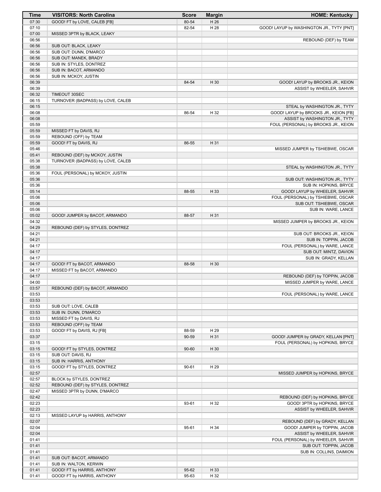| Time           | <b>VISITORS: North Carolina</b>                 | <b>Score</b> | <b>Margin</b> | <b>HOME: Kentucky</b>                                                  |
|----------------|-------------------------------------------------|--------------|---------------|------------------------------------------------------------------------|
| 07:30          | GOOD! FT by LOVE, CALEB [FB]                    | 80-54        | H 26          |                                                                        |
| 07:10          |                                                 | 82-54        | H 28          | GOOD! LAYUP by WASHINGTON JR., TYTY [PNT]                              |
| 07:00          | MISSED 3PTR by BLACK, LEAKY                     |              |               |                                                                        |
| 06:56          |                                                 |              |               | REBOUND (DEF) by TEAM                                                  |
| 06:56          | SUB OUT: BLACK, LEAKY                           |              |               |                                                                        |
| 06:56<br>06:56 | SUB OUT: DUNN, D'MARCO<br>SUB OUT: MANEK, BRADY |              |               |                                                                        |
| 06:56          | SUB IN: STYLES, DONTREZ                         |              |               |                                                                        |
| 06:56          | SUB IN: BACOT, ARMANDO                          |              |               |                                                                        |
| 06:56          | SUB IN: MCKOY, JUSTIN                           |              |               |                                                                        |
| 06:39          |                                                 | 84-54        | H 30          | GOOD! LAYUP by BROOKS JR., KEION                                       |
| 06:39          |                                                 |              |               | ASSIST by WHEELER, SAHVIR                                              |
| 06:32          | <b>TIMEOUT 30SEC</b>                            |              |               |                                                                        |
| 06:15          | TURNOVER (BADPASS) by LOVE, CALEB               |              |               |                                                                        |
| 06:15<br>06:08 |                                                 | 86-54        | H 32          | STEAL by WASHINGTON JR., TYTY<br>GOOD! LAYUP by BROOKS JR., KEION [FB] |
| 06:08          |                                                 |              |               | ASSIST by WASHINGTON JR., TYTY                                         |
| 05:59          |                                                 |              |               | FOUL (PERSONAL) by BROOKS JR., KEION                                   |
| 05:59          | MISSED FT by DAVIS, RJ                          |              |               |                                                                        |
| 05:59          | REBOUND (OFF) by TEAM                           |              |               |                                                                        |
| 05:59          | GOOD! FT by DAVIS, RJ                           | 86-55        | H 31          |                                                                        |
| 05:46          |                                                 |              |               | MISSED JUMPER by TSHIEBWE, OSCAR                                       |
| 05:41          | REBOUND (DEF) by MCKOY, JUSTIN                  |              |               |                                                                        |
| 05:38<br>05:38 | TURNOVER (BADPASS) by LOVE, CALEB               |              |               |                                                                        |
| 05:36          | FOUL (PERSONAL) by MCKOY, JUSTIN                |              |               | STEAL by WASHINGTON JR., TYTY                                          |
| 05:36          |                                                 |              |               | SUB OUT: WASHINGTON JR., TYTY                                          |
| 05:36          |                                                 |              |               | SUB IN: HOPKINS, BRYCE                                                 |
| 05:14          |                                                 | 88-55        | H 33          | GOOD! LAYUP by WHEELER, SAHVIR                                         |
| 05:06          |                                                 |              |               | FOUL (PERSONAL) by TSHIEBWE, OSCAR                                     |
| 05:06          |                                                 |              |               | SUB OUT: TSHIEBWE, OSCAR                                               |
| 05:06          |                                                 |              |               | SUB IN: WARE, LANCE                                                    |
| 05:02<br>04:32 | GOOD! JUMPER by BACOT, ARMANDO                  | 88-57        | H 31          |                                                                        |
| 04:29          | REBOUND (DEF) by STYLES, DONTREZ                |              |               | MISSED JUMPER by BROOKS JR., KEION                                     |
| 04:21          |                                                 |              |               | SUB OUT: BROOKS JR., KEION                                             |
| 04:21          |                                                 |              |               | SUB IN: TOPPIN, JACOB                                                  |
| 04:17          |                                                 |              |               | FOUL (PERSONAL) by WARE, LANCE                                         |
| 04:17          |                                                 |              |               | SUB OUT: MINTZ, DAVION                                                 |
| 04:17          |                                                 |              |               | SUB IN: GRADY, KELLAN                                                  |
| 04:17          | GOOD! FT by BACOT, ARMANDO                      | 88-58        | H 30          |                                                                        |
| 04:17<br>04:17 | MISSED FT by BACOT, ARMANDO                     |              |               | REBOUND (DEF) by TOPPIN, JACOB                                         |
| 04:00          |                                                 |              |               | MISSED JUMPER by WARE, LANCE                                           |
| 03:57          | REBOUND (DEF) by BACOT, ARMANDO                 |              |               |                                                                        |
| 03:53          |                                                 |              |               | FOUL (PERSONAL) by WARE, LANCE                                         |
| 03:53          |                                                 |              |               |                                                                        |
| 03:53          | SUB OUT: LOVE, CALEB                            |              |               |                                                                        |
| 03:53          | SUB IN: DUNN, D'MARCO                           |              |               |                                                                        |
| 03:53<br>03:53 | MISSED FT by DAVIS, RJ<br>REBOUND (OFF) by TEAM |              |               |                                                                        |
| 03:53          | GOOD! FT by DAVIS, RJ [FB]                      | 88-59        | H 29          |                                                                        |
| 03:37          |                                                 | 90-59        | H 31          | GOOD! JUMPER by GRADY, KELLAN [PNT]                                    |
| 03:15          |                                                 |              |               | FOUL (PERSONAL) by HOPKINS, BRYCE                                      |
| 03:15          | GOOD! FT by STYLES, DONTREZ                     | 90-60        | H 30          |                                                                        |
| 03:15          | SUB OUT: DAVIS, RJ                              |              |               |                                                                        |
| 03:15          | SUB IN: HARRIS, ANTHONY                         |              |               |                                                                        |
| 03:15          | GOOD! FT by STYLES, DONTREZ                     | 90-61        | H 29          |                                                                        |
| 02:57<br>02:57 | BLOCK by STYLES, DONTREZ                        |              |               | MISSED JUMPER by HOPKINS, BRYCE                                        |
| 02:52          | REBOUND (DEF) by STYLES, DONTREZ                |              |               |                                                                        |
| 02:47          | MISSED 3PTR by DUNN, D'MARCO                    |              |               |                                                                        |
| 02:42          |                                                 |              |               | REBOUND (DEF) by HOPKINS, BRYCE                                        |
| 02:23          |                                                 | 93-61        | H 32          | GOOD! 3PTR by HOPKINS, BRYCE                                           |
| 02:23          |                                                 |              |               | ASSIST by WHEELER, SAHVIR                                              |
| 02:13          | MISSED LAYUP by HARRIS, ANTHONY                 |              |               |                                                                        |
| 02:07          |                                                 |              |               | REBOUND (DEF) by GRADY, KELLAN                                         |
| 02:04<br>02:04 |                                                 | 95-61        | H 34          | GOOD! JUMPER by TOPPIN, JACOB<br>ASSIST by WHEELER, SAHVIR             |
| 01:41          |                                                 |              |               | FOUL (PERSONAL) by WHEELER, SAHVIR                                     |
| 01:41          |                                                 |              |               | SUB OUT: TOPPIN, JACOB                                                 |
| 01:41          |                                                 |              |               | SUB IN: COLLINS, DAIMION                                               |
| 01:41          | SUB OUT: BACOT, ARMANDO                         |              |               |                                                                        |
| 01:41          | SUB IN: WALTON, KERWIN                          |              |               |                                                                        |
| 01:41          | GOOD! FT by HARRIS, ANTHONY                     | 95-62        | H 33          |                                                                        |
| 01:41          | GOOD! FT by HARRIS, ANTHONY                     | 95-63        | H 32          |                                                                        |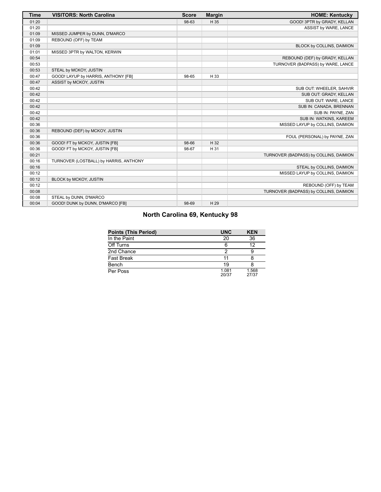| Time  | <b>VISITORS: North Carolina</b>        | <b>Score</b> | <b>Margin</b> | <b>HOME: Kentucky</b>                  |
|-------|----------------------------------------|--------------|---------------|----------------------------------------|
| 01:20 |                                        | 98-63        | H 35          | GOOD! 3PTR by GRADY, KELLAN            |
| 01:20 |                                        |              |               | ASSIST by WARE, LANCE                  |
| 01:09 | MISSED JUMPER by DUNN, D'MARCO         |              |               |                                        |
| 01:09 | REBOUND (OFF) by TEAM                  |              |               |                                        |
| 01:09 |                                        |              |               | BLOCK by COLLINS, DAIMION              |
| 01:01 | MISSED 3PTR by WALTON, KERWIN          |              |               |                                        |
| 00:54 |                                        |              |               | REBOUND (DEF) by GRADY, KELLAN         |
| 00:53 |                                        |              |               | TURNOVER (BADPASS) by WARE, LANCE      |
| 00:53 | STEAL by MCKOY, JUSTIN                 |              |               |                                        |
| 00:47 | GOOD! LAYUP by HARRIS, ANTHONY [FB]    | 98-65        | H 33          |                                        |
| 00:47 | ASSIST by MCKOY, JUSTIN                |              |               |                                        |
| 00:42 |                                        |              |               | SUB OUT: WHEELER, SAHVIR               |
| 00:42 |                                        |              |               | SUB OUT: GRADY, KELLAN                 |
| 00:42 |                                        |              |               | SUB OUT: WARE, LANCE                   |
| 00:42 |                                        |              |               | SUB IN: CANADA, BRENNAN                |
| 00:42 |                                        |              |               | SUB IN: PAYNE, ZAN                     |
| 00:42 |                                        |              |               | SUB IN: WATKINS, KAREEM                |
| 00:36 |                                        |              |               | MISSED LAYUP by COLLINS, DAIMION       |
| 00:36 | REBOUND (DEF) by MCKOY, JUSTIN         |              |               |                                        |
| 00:36 |                                        |              |               | FOUL (PERSONAL) by PAYNE, ZAN          |
| 00:36 | GOOD! FT by MCKOY, JUSTIN [FB]         | 98-66        | H 32          |                                        |
| 00:36 | GOOD! FT by MCKOY, JUSTIN [FB]         | 98-67        | H 31          |                                        |
| 00:21 |                                        |              |               | TURNOVER (BADPASS) by COLLINS, DAIMION |
| 00:16 | TURNOVER (LOSTBALL) by HARRIS, ANTHONY |              |               |                                        |
| 00:16 |                                        |              |               | STEAL by COLLINS, DAIMION              |
| 00:12 |                                        |              |               | MISSED LAYUP by COLLINS, DAIMION       |
| 00:12 | BLOCK by MCKOY, JUSTIN                 |              |               |                                        |
| 00:12 |                                        |              |               | REBOUND (OFF) by TEAM                  |
| 00:08 |                                        |              |               | TURNOVER (BADPASS) by COLLINS, DAIMION |
| 00:08 | STEAL by DUNN, D'MARCO                 |              |               |                                        |
| 00:04 | GOOD! DUNK by DUNN, D'MARCO [FB]       | 98-69        | H 29          |                                        |

# **North Carolina 69, Kentucky 98**

| <b>Points (This Period)</b> | <b>UNC</b>     | <b>KEN</b>     |
|-----------------------------|----------------|----------------|
| In the Paint                | 20             | 36             |
| Off Turns                   | 6              | 12             |
| 2nd Chance                  |                |                |
| Fast Break                  | 11             |                |
| Bench                       | 19             |                |
| Per Poss                    | 1.081<br>20/37 | 1.568<br>27/37 |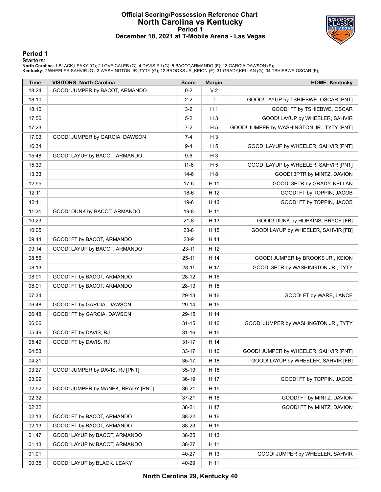#### **Official Scoring/Possession Reference Chart North Carolina vs Kentucky Period 1 December 18, 2021 at T-Mobile Arena - Las Vegas**



**Period 1**

#### **Starters:**

North Carolina: 1 BLACK,LEAKY (G); 2 LOVE,CALEB (G); 4 DAVIS,RJ (G); 5 BACOT,ARMANDO (F); 13 GARCIA,DAWSON (F);<br>**Kentucky**: 2 WHEELER,SAHVIR (G); 3 WASHINGTON JR.,TYTY (G); 12 BROOKS JR.,KEION (F); 31 GRADY,KELLAN (G); 34

| <b>Time</b> | <b>VISITORS: North Carolina</b>    | <b>Score</b> | <b>Margin</b>  | <b>HOME: Kentucky</b>                      |
|-------------|------------------------------------|--------------|----------------|--------------------------------------------|
| 18:24       | GOOD! JUMPER by BACOT, ARMANDO     | $0 - 2$      | V <sub>2</sub> |                                            |
| 18:10       |                                    | $2 - 2$      | T              | GOOD! LAYUP by TSHIEBWE, OSCAR [PNT]       |
| 18:10       |                                    | $3 - 2$      | H <sub>1</sub> | GOOD! FT by TSHIEBWE, OSCAR                |
| 17:56       |                                    | $5-2$        | $H_3$          | GOOD! LAYUP by WHEELER, SAHVIR             |
| 17:23       |                                    | $7-2$        | H <sub>5</sub> | GOOD! JUMPER by WASHINGTON JR., TYTY [PNT] |
| 17:03       | GOOD! JUMPER by GARCIA, DAWSON     | $7 - 4$      | $H_3$          |                                            |
| 16:34       |                                    | $9 - 4$      | H <sub>5</sub> | GOOD! LAYUP by WHEELER, SAHVIR [PNT]       |
| 15:48       | GOOD! LAYUP by BACOT, ARMANDO      | $9-6$        | $H_3$          |                                            |
| 15:39       |                                    | $11 - 6$     | H <sub>5</sub> | GOOD! LAYUP by WHEELER, SAHVIR [PNT]       |
| 13:33       |                                    | $14-6$       | H 8            | GOOD! 3PTR by MINTZ, DAVION                |
| 12:55       |                                    | $17-6$       | H 11           | GOOD! 3PTR by GRADY, KELLAN                |
| 12:11       |                                    | $18-6$       | H 12           | GOOD! FT by TOPPIN, JACOB                  |
| 12:11       |                                    | $19-6$       | H 13           | GOOD! FT by TOPPIN, JACOB                  |
| 11:24       | GOOD! DUNK by BACOT, ARMANDO       | $19-8$       | H 11           |                                            |
| 10:23       |                                    | $21 - 8$     | H 13           | GOOD! DUNK by HOPKINS, BRYCE [FB]          |
| 10:05       |                                    | $23 - 8$     | H 15           | GOOD! LAYUP by WHEELER, SAHVIR [FB]        |
| 09:44       | GOOD! FT by BACOT, ARMANDO         | $23-9$       | H 14           |                                            |
| 09:14       | GOOD! LAYUP by BACOT, ARMANDO      | $23 - 11$    | H 12           |                                            |
| 08:56       |                                    | $25 - 11$    | H 14           | GOOD! JUMPER by BROOKS JR., KEION          |
| 08:13       |                                    | $28-11$      | H 17           | GOOD! 3PTR by WASHINGTON JR., TYTY         |
| 08:01       | GOOD! FT by BACOT, ARMANDO         | 28-12        | H 16           |                                            |
| 08:01       | GOOD! FT by BACOT, ARMANDO         | 28-13        | H 15           |                                            |
| 07:34       |                                    | 29-13        | H 16           | GOOD! FT by WARE, LANCE                    |
| 06:48       | GOOD! FT by GARCIA, DAWSON         | 29-14        | H 15           |                                            |
| 06:48       | GOOD! FT by GARCIA, DAWSON         | 29-15        | H 14           |                                            |
| 06:06       |                                    | $31 - 15$    | H 16           | GOOD! JUMPER by WASHINGTON JR., TYTY       |
| 05:49       | GOOD! FT by DAVIS, RJ              | $31 - 16$    | H 15           |                                            |
| 05:49       | GOOD! FT by DAVIS, RJ              | $31 - 17$    | H 14           |                                            |
| 04:53       |                                    | $33 - 17$    | H 16           | GOOD! JUMPER by WHEELER, SAHVIR [PNT]      |
| 04:21       |                                    | $35 - 17$    | H 18           | GOOD! LAYUP by WHEELER, SAHVIR [FB]        |
| 03:27       | GOOD! JUMPER by DAVIS, RJ [PNT]    | 35-19        | H 16           |                                            |
| 03:09       |                                    | 36-19        | H 17           | GOOD! FT by TOPPIN, JACOB                  |
| 02:52       | GOOD! JUMPER by MANEK, BRADY [PNT] | 36-21        | H 15           |                                            |
| 02:32       |                                    | $37 - 21$    | H 16           | GOOD! FT by MINTZ, DAVION                  |
| 02:32       |                                    | 38-21        | H 17           | GOOD! FT by MINTZ, DAVION                  |
| 02:13       | GOOD! FT by BACOT, ARMANDO         | 38-22        | H 16           |                                            |
| 02:13       | GOOD! FT by BACOT, ARMANDO         | 38-23        | H 15           |                                            |
| 01:47       | GOOD! LAYUP by BACOT, ARMANDO      | 38-25        | H 13           |                                            |
| 01:13       | GOOD! LAYUP by BACOT, ARMANDO      | 38-27        | H 11           |                                            |
| 01:01       |                                    | 40-27        | H 13           | GOOD! JUMPER by WHEELER, SAHVIR            |
| 00:35       | GOOD! LAYUP by BLACK, LEAKY        | 40-29        | H 11           |                                            |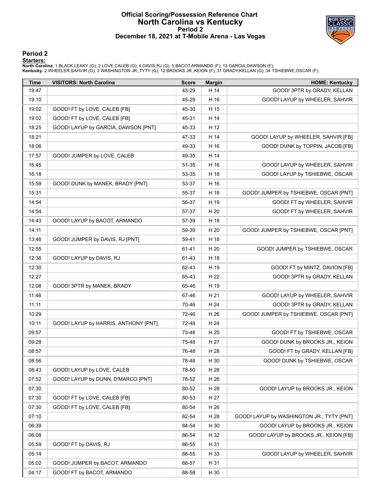#### **Official Scoring/Possession Reference Chart North Carolina vs Kentucky Period 2 December 18, 2021 at T-Mobile Arena - Las Vegas**



#### **Period 2**

#### **Starters:**

North Carolina: 1 BLACK,LEAKY (G); 2 LOVE,CALEB (G); 4 DAVIS,RJ (G); 5 BACOT,ARMANDO (F); 13 GARCIA,DAWSON (F);<br>**Kentucky**: 2 WHEELER,SAHVIR (G); 3 WASHINGTON JR.,TYTY (G); 12 BROOKS JR.,KEION (F); 31 GRADY,KELLAN (G); 34

| <b>Time</b> | <b>VISITORS: North Carolina</b>      | <b>Score</b> | <b>Margin</b> | <b>HOME: Kentucky</b>                     |
|-------------|--------------------------------------|--------------|---------------|-------------------------------------------|
| 19:47       |                                      | 43-29        | H 14          | GOOD! 3PTR by GRADY, KELLAN               |
| 19:10       |                                      | 45-29        | H 16          | GOOD! LAYUP by WHEELER, SAHVIR            |
| 19:02       | GOOD! FT by LOVE, CALEB [FB]         | 45-30        | H 15          |                                           |
| 19:02       | GOOD! FT by LOVE, CALEB [FB]         | 45-31        | H 14          |                                           |
| 18:25       | GOOD! LAYUP by GARCIA, DAWSON [PNT]  | 45-33        | H 12          |                                           |
| 18:21       |                                      | 47-33        | H 14          | GOOD! LAYUP by WHEELER, SAHVIR [FB]       |
| 18:06       |                                      | 49-33        | H 16          | GOOD! DUNK by TOPPIN, JACOB [FB]          |
| 17:57       | GOOD! JUMPER by LOVE, CALEB          | 49-35        | H 14          |                                           |
| 16:45       |                                      | 51-35        | H 16          | GOOD! LAYUP by WHEELER, SAHVIR            |
| 16:18       |                                      | 53-35        | H 18          | GOOD! LAYUP by TSHIEBWE, OSCAR            |
| 15:59       | GOOD! DUNK by MANEK, BRADY [PNT]     | 53-37        | H 16          |                                           |
| 15:31       |                                      | 55-37        | H 18          | GOOD! JUMPER by TSHIEBWE, OSCAR [PNT]     |
| 14:54       |                                      | 56-37        | H 19          | GOOD! FT by WHEELER, SAHVIR               |
| 14:54       |                                      | 57-37        | H 20          | GOOD! FT by WHEELER, SAHVIR               |
| 14:43       | GOOD! LAYUP by BACOT, ARMANDO        | 57-39        | H 18          |                                           |
| 14:11       |                                      | 59-39        | H 20          | GOOD! JUMPER by TSHIEBWE, OSCAR [PNT]     |
| 13:46       | GOOD! JUMPER by DAVIS, RJ [PNT]      | 59-41        | H 18          |                                           |
| 12:55       |                                      | 61-41        | H 20          | GOOD! JUMPER by TSHIEBWE, OSCAR           |
| 12:36       | GOOD! LAYUP by DAVIS, RJ             | 61-43        | H 18          |                                           |
| 12:30       |                                      | 62-43        | H 19          | GOOD! FT by MINTZ, DAVION [FB]            |
| 12:27       |                                      | 65-43        | H 22          | GOOD! 3PTR by GRADY, KELLAN               |
| 12:08       | GOOD! 3PTR by MANEK, BRADY           | 65-46        | H 19          |                                           |
| 11:48       |                                      | 67-46        | H 21          | GOOD! LAYUP by WHEELER, SAHVIR            |
| 11:11       |                                      | 70-46        | H 24          | GOOD! 3PTR by GRADY, KELLAN               |
| 10:29       |                                      | 72-46        | H 26          | GOOD! JUMPER by TSHIEBWE, OSCAR [PNT]     |
| 10:11       | GOOD! LAYUP by HARRIS, ANTHONY [PNT] | 72-48        | H 24          |                                           |
| 09:57       |                                      | 73-48        | H 25          | GOOD! FT by TSHIEBWE, OSCAR               |
| 09:28       |                                      | 75-48        | H 27          | GOOD! DUNK by BROOKS JR., KEION           |
| 08:57       |                                      | 76-48        | H 28          | GOOD! FT by GRADY, KELLAN [FB]            |
| 08:56       |                                      | 78-48        | H 30          | GOOD! DUNK by TSHIEBWE, OSCAR             |
| 08:43       | GOOD! LAYUP by LOVE, CALEB           | 78-50        | H 28          |                                           |
| 07:52       | GOOD! LAYUP by DUNN, D'MARCO [PNT]   | 78-52        | H 26          |                                           |
| 07:30       |                                      | 80-52        | H 28          | GOOD! LAYUP by BROOKS JR., KEION          |
| 07:30       | GOOD! FT by LOVE, CALEB [FB]         | 80-53        | H 27          |                                           |
| 07:30       | GOOD! FT by LOVE, CALEB [FB]         | 80-54        | H 26          |                                           |
| 07:10       |                                      | 82-54        | H 28          | GOOD! LAYUP by WASHINGTON JR., TYTY [PNT] |
| 06:39       |                                      | 84-54        | H 30          | GOOD! LAYUP by BROOKS JR., KEION          |
| 06:08       |                                      | 86-54        | H 32          | GOOD! LAYUP by BROOKS JR., KEION [FB]     |
| 05:59       | GOOD! FT by DAVIS, RJ                | 86-55        | H 31          |                                           |
| 05:14       |                                      | 88-55        | H 33          | GOOD! LAYUP by WHEELER, SAHVIR            |
| 05:02       | GOOD! JUMPER by BACOT, ARMANDO       | 88-57        | H 31          |                                           |
| 04:17       | GOOD! FT by BACOT, ARMANDO           | 88-58        | H 30          |                                           |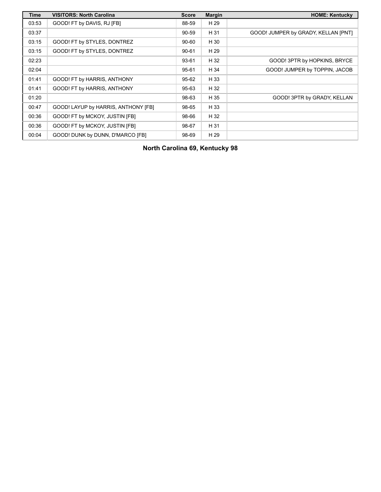| Time  | <b>VISITORS: North Carolina</b>     | <b>Score</b> | <b>Margin</b> | <b>HOME: Kentucky</b>               |
|-------|-------------------------------------|--------------|---------------|-------------------------------------|
| 03:53 | GOOD! FT by DAVIS, RJ [FB]          | 88-59        | H 29          |                                     |
| 03:37 |                                     | 90-59        | H 31          | GOOD! JUMPER by GRADY, KELLAN [PNT] |
| 03:15 | GOOD! FT by STYLES, DONTREZ         | $90 - 60$    | H 30          |                                     |
| 03:15 | GOOD! FT by STYLES, DONTREZ         | $90 - 61$    | H 29          |                                     |
| 02:23 |                                     | 93-61        | H 32          | GOOD! 3PTR by HOPKINS, BRYCE        |
| 02:04 |                                     | 95-61        | H 34          | GOOD! JUMPER by TOPPIN, JACOB       |
| 01:41 | GOOD! FT by HARRIS, ANTHONY         | 95-62        | H 33          |                                     |
| 01:41 | GOOD! FT by HARRIS, ANTHONY         | 95-63        | H 32          |                                     |
| 01:20 |                                     | 98-63        | H 35          | GOOD! 3PTR by GRADY, KELLAN         |
| 00:47 | GOOD! LAYUP by HARRIS, ANTHONY [FB] | 98-65        | H 33          |                                     |
| 00:36 | GOOD! FT by MCKOY, JUSTIN [FB]      | 98-66        | H 32          |                                     |
| 00:36 | GOOD! FT by MCKOY, JUSTIN [FB]      | 98-67        | H 31          |                                     |
| 00:04 | GOOD! DUNK by DUNN, D'MARCO [FB]    | 98-69        | H 29          |                                     |

**North Carolina 69, Kentucky 98**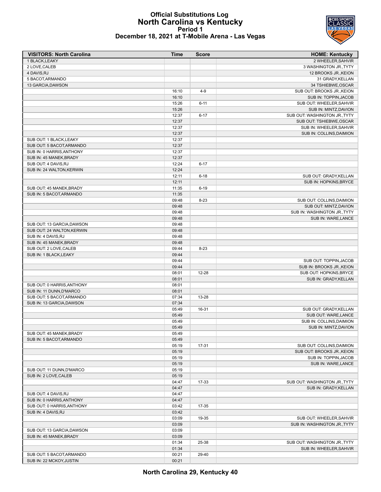### **Official Substitutions Log North Carolina vs Kentucky Period 1 December 18, 2021 at T-Mobile Arena - Las Vegas**

| <b>VISITORS: North Carolina</b> | Time           | <b>Score</b> | <b>HOME: Kentucky</b>                               |
|---------------------------------|----------------|--------------|-----------------------------------------------------|
| 1 BLACK, LEAKY                  |                |              | 2 WHEELER, SAHVIR                                   |
| 2 LOVE, CALEB                   |                |              | 3 WASHINGTON JR., TYTY                              |
| 4 DAVIS, RJ                     |                |              | 12 BROOKS JR., KEION                                |
| 5 BACOT, ARMANDO                |                |              | 31 GRADY, KELLAN                                    |
| 13 GARCIA, DAWSON               |                |              | 34 TSHIEBWE, OSCAR                                  |
|                                 | 16:10          | $4 - 9$      | SUB OUT: BROOKS JR., KEION                          |
|                                 | 16:10          |              | SUB IN: TOPPIN, JACOB                               |
|                                 | 15:26          | $6 - 11$     | SUB OUT: WHEELER, SAHVIR                            |
|                                 | 15:26          |              | SUB IN: MINTZ, DAVION                               |
|                                 | 12:37          | $6 - 17$     | SUB OUT: WASHINGTON JR., TYTY                       |
|                                 | 12:37          |              | SUB OUT: TSHIEBWE, OSCAR                            |
|                                 | 12:37          |              | SUB IN: WHEELER, SAHVIR                             |
|                                 | 12:37          |              | SUB IN: COLLINS, DAIMION                            |
| SUB OUT: 1 BLACK, LEAKY         | 12:37          |              |                                                     |
| SUB OUT: 5 BACOT, ARMANDO       | 12:37          |              |                                                     |
| SUB IN: 0 HARRIS, ANTHONY       | 12:37          |              |                                                     |
| SUB IN: 45 MANEK, BRADY         | 12:37          |              |                                                     |
| SUB OUT: 4 DAVIS, RJ            | 12:24          | $6 - 17$     |                                                     |
| SUB IN: 24 WALTON, KERWIN       | 12:24          |              |                                                     |
|                                 | 12:11          | $6 - 18$     | SUB OUT: GRADY, KELLAN                              |
| SUB OUT: 45 MANEK, BRADY        | 12:11          |              | SUB IN: HOPKINS, BRYCE                              |
|                                 | 11:35          | $6 - 19$     |                                                     |
| SUB IN: 5 BACOT, ARMANDO        | 11:35          |              |                                                     |
|                                 | 09:48<br>09:48 | $8 - 23$     | SUB OUT: COLLINS, DAIMION<br>SUB OUT: MINTZ, DAVION |
|                                 | 09:48          |              | SUB IN: WASHINGTON JR., TYTY                        |
|                                 | 09:48          |              | SUB IN: WARE, LANCE                                 |
| SUB OUT: 13 GARCIA, DAWSON      | 09:48          |              |                                                     |
| SUB OUT: 24 WALTON, KERWIN      | 09:48          |              |                                                     |
| SUB IN: 4 DAVIS, RJ             | 09:48          |              |                                                     |
| SUB IN: 45 MANEK, BRADY         | 09:48          |              |                                                     |
| SUB OUT: 2 LOVE, CALEB          | 09:44          | $8 - 23$     |                                                     |
| SUB IN: 1 BLACK, LEAKY          | 09:44          |              |                                                     |
|                                 | 09:44          |              | SUB OUT: TOPPIN, JACOB                              |
|                                 | 09:44          |              | SUB IN: BROOKS JR., KEION                           |
|                                 | 08:01          | 12-28        | SUB OUT: HOPKINS, BRYCE                             |
|                                 | 08:01          |              | SUB IN: GRADY, KELLAN                               |
| SUB OUT: 0 HARRIS, ANTHONY      | 08:01          |              |                                                     |
| SUB IN: 11 DUNN, D'MARCO        | 08:01          |              |                                                     |
| SUB OUT: 5 BACOT, ARMANDO       | 07:34          | 13-28        |                                                     |
| SUB IN: 13 GARCIA, DAWSON       | 07:34          |              |                                                     |
|                                 | 05:49          | 16-31        | SUB OUT: GRADY, KELLAN                              |
|                                 | 05:49          |              | SUB OUT: WARE, LANCE                                |
|                                 | 05:49          |              | SUB IN: COLLINS, DAIMION                            |
|                                 | 05:49          |              | SUB IN: MINTZ, DAVION                               |
| SUB OUT: 45 MANEK, BRADY        | 05:49          |              |                                                     |
| SUB IN: 5 BACOT, ARMANDO        | 05:49          |              |                                                     |
|                                 | 05:19          | 17-31        | SUB OUT: COLLINS, DAIMION                           |
|                                 | 05:19          |              | SUB OUT: BROOKS JR., KEION                          |
|                                 | 05:19          |              | SUB IN: TOPPIN, JACOB                               |
|                                 | 05:19          |              | SUB IN: WARE, LANCE                                 |
| SUB OUT: 11 DUNN, D'MARCO       | 05:19          |              |                                                     |
| SUB IN: 2 LOVE, CALEB           | 05:19          |              |                                                     |
|                                 | 04:47          | 17-33        | SUB OUT: WASHINGTON JR., TYTY                       |
|                                 | 04:47          |              | SUB IN: GRADY, KELLAN                               |
| SUB OUT: 4 DAVIS, RJ            | 04:47          |              |                                                     |
| SUB IN: 0 HARRIS, ANTHONY       | 04:47          |              |                                                     |
| SUB OUT: 0 HARRIS, ANTHONY      | 03:42          | 17-35        |                                                     |
| SUB IN: 4 DAVIS, RJ             | 03:42          |              |                                                     |
|                                 | 03:09          | 19-35        | SUB OUT: WHEELER, SAHVIR                            |
|                                 | 03:09          |              | SUB IN: WASHINGTON JR., TYTY                        |
| SUB OUT: 13 GARCIA, DAWSON      | 03:09          |              |                                                     |
| SUB IN: 45 MANEK, BRADY         | 03:09          |              |                                                     |
|                                 | 01:34          | 25-38        | SUB OUT: WASHINGTON JR., TYTY                       |
|                                 | 01:34          |              | SUB IN: WHEELER, SAHVIR                             |
| SUB OUT: 5 BACOT, ARMANDO       | 00:21          | 29-40        |                                                     |
| SUB IN: 22 MCKOY, JUSTIN        | 00:21          |              |                                                     |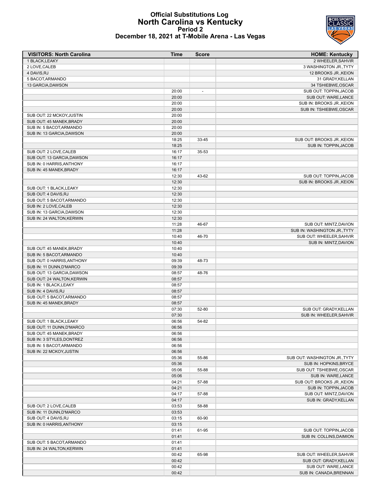#### **Official Substitutions Log North Carolina vs Kentucky Period 2 December 18, 2021 at T-Mobile Arena - Las Vegas**

| <b>VISITORS: North Carolina</b>                      | <b>Time</b>    | <b>Score</b> | <b>HOME: Kentucky</b>                                   |
|------------------------------------------------------|----------------|--------------|---------------------------------------------------------|
| 1 BLACK, LEAKY                                       |                |              | 2 WHEELER.SAHVIR                                        |
| 2 LOVE, CALEB                                        |                |              | 3 WASHINGTON JR., TYTY                                  |
| 4 DAVIS, RJ                                          |                |              | 12 BROOKS JR., KEION                                    |
| 5 BACOT, ARMANDO                                     |                |              | 31 GRADY, KELLAN                                        |
| 13 GARCIA, DAWSON                                    | 20:00          |              | 34 TSHIEBWE, OSCAR<br>SUB OUT: TOPPIN, JACOB            |
|                                                      | 20:00          |              | SUB OUT: WARE, LANCE                                    |
|                                                      | 20:00          |              | SUB IN: BROOKS JR., KEION                               |
|                                                      | 20:00          |              | SUB IN: TSHIEBWE, OSCAR                                 |
| SUB OUT: 22 MCKOY, JUSTIN                            | 20:00          |              |                                                         |
| SUB OUT: 45 MANEK, BRADY                             | 20:00          |              |                                                         |
| SUB IN: 5 BACOT, ARMANDO                             | 20:00          |              |                                                         |
| SUB IN: 13 GARCIA.DAWSON                             | 20:00          |              |                                                         |
|                                                      | 18:25          | 33-45        | SUB OUT: BROOKS JR., KEION                              |
|                                                      | 18:25          |              | SUB IN: TOPPIN, JACOB                                   |
| SUB OUT: 2 LOVE, CALEB<br>SUB OUT: 13 GARCIA, DAWSON | 16:17<br>16:17 | 35-53        |                                                         |
| SUB IN: 0 HARRIS, ANTHONY                            | 16:17          |              |                                                         |
| SUB IN: 45 MANEK, BRADY                              | 16:17          |              |                                                         |
|                                                      | 12:30          | 43-62        | SUB OUT: TOPPIN, JACOB                                  |
|                                                      | 12:30          |              | SUB IN: BROOKS JR., KEION                               |
| SUB OUT: 1 BLACK, LEAKY                              | 12:30          |              |                                                         |
| SUB OUT: 4 DAVIS, RJ                                 | 12:30          |              |                                                         |
| SUB OUT: 5 BACOT, ARMANDO                            | 12:30          |              |                                                         |
| SUB IN: 2 LOVE, CALEB                                | 12:30          |              |                                                         |
| SUB IN: 13 GARCIA, DAWSON                            | 12:30          |              |                                                         |
| SUB IN: 24 WALTON, KERWIN                            | 12:30<br>11:28 | 46-67        | SUB OUT: MINTZ, DAVION                                  |
|                                                      | 11:28          |              | SUB IN: WASHINGTON JR., TYTY                            |
|                                                      | 10:40          | 46-70        | SUB OUT: WHEELER, SAHVIR                                |
|                                                      | 10:40          |              | SUB IN: MINTZ, DAVION                                   |
| SUB OUT: 45 MANEK, BRADY                             | 10:40          |              |                                                         |
| SUB IN: 5 BACOT, ARMANDO                             | 10:40          |              |                                                         |
| SUB OUT: 0 HARRIS, ANTHONY                           | 09:39          | 48-73        |                                                         |
| SUB IN: 11 DUNN, D'MARCO                             | 09:39          |              |                                                         |
| SUB OUT: 13 GARCIA, DAWSON                           | 08:57          | 48-76        |                                                         |
| SUB OUT: 24 WALTON, KERWIN                           | 08:57          |              |                                                         |
| SUB IN: 1 BLACK, LEAKY<br>SUB IN: 4 DAVIS, RJ        | 08:57<br>08:57 |              |                                                         |
| SUB OUT: 5 BACOT, ARMANDO                            | 08:57          |              |                                                         |
| SUB IN: 45 MANEK.BRADY                               | 08:57          |              |                                                         |
|                                                      | 07:30          | 52-80        | SUB OUT: GRADY, KELLAN                                  |
|                                                      | 07:30          |              | SUB IN: WHEELER, SAHVIR                                 |
| SUB OUT: 1 BLACK, LEAKY                              | 06:56          | 54-82        |                                                         |
| SUB OUT: 11 DUNN, D'MARCO                            | 06:56          |              |                                                         |
| SUB OUT: 45 MANEK, BRADY                             | 06:56          |              |                                                         |
| SUB IN: 3 STYLES, DONTREZ                            | 06:56          |              |                                                         |
| SUB IN: 5 BACOT, ARMANDO                             | 06:56          |              |                                                         |
| SUB IN: 22 MCKOY, JUSTIN                             | 06:56          |              |                                                         |
|                                                      | 05:36<br>05:36 | 55-86        | SUB OUT: WASHINGTON JR., TYTY<br>SUB IN: HOPKINS, BRYCE |
|                                                      | 05:06          | 55-88        | SUB OUT: TSHIEBWE, OSCAR                                |
|                                                      | 05:06          |              | SUB IN: WARE, LANCE                                     |
|                                                      | 04:21          | 57-88        | SUB OUT: BROOKS JR., KEION                              |
|                                                      | 04:21          |              | SUB IN: TOPPIN, JACOB                                   |
|                                                      | 04:17          | 57-88        | SUB OUT: MINTZ, DAVION                                  |
|                                                      | 04:17          |              | SUB IN: GRADY, KELLAN                                   |
| SUB OUT: 2 LOVE, CALEB                               | 03:53          | 58-88        |                                                         |
| SUB IN: 11 DUNN, D'MARCO                             | 03:53          |              |                                                         |
| SUB OUT: 4 DAVIS, RJ                                 | 03:15          | 60-90        |                                                         |
| SUB IN: 0 HARRIS, ANTHONY                            | 03:15<br>01:41 | 61-95        |                                                         |
|                                                      | 01:41          |              | SUB OUT: TOPPIN, JACOB<br>SUB IN: COLLINS, DAIMION      |
| SUB OUT: 5 BACOT, ARMANDO                            | 01:41          |              |                                                         |
| SUB IN: 24 WALTON, KERWIN                            | 01:41          |              |                                                         |
|                                                      | 00:42          | 65-98        | SUB OUT: WHEELER, SAHVIR                                |
|                                                      | 00:42          |              | SUB OUT: GRADY, KELLAN                                  |
|                                                      | 00:42          |              | SUB OUT: WARE, LANCE                                    |
|                                                      | 00:42          |              | SUB IN: CANADA, BRENNAN                                 |